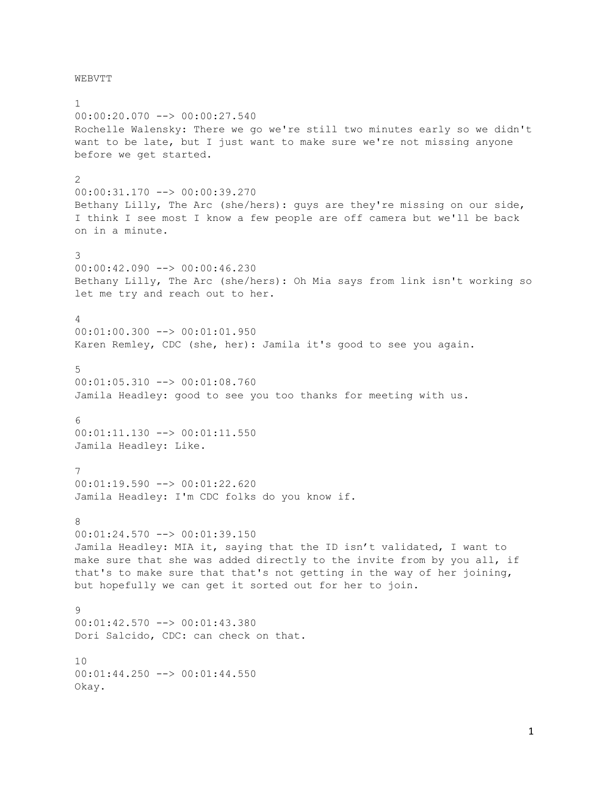WEBVTT

1 00:00:20.070 --> 00:00:27.540 Rochelle Walensky: There we go we're still two minutes early so we didn't want to be late, but I just want to make sure we're not missing anyone before we get started.  $\mathfrak{D}$ 00:00:31.170 --> 00:00:39.270 Bethany Lilly, The Arc (she/hers): guys are they're missing on our side, I think I see most I know a few people are off camera but we'll be back on in a minute. 3 00:00:42.090 --> 00:00:46.230 Bethany Lilly, The Arc (she/hers): Oh Mia says from link isn't working so let me try and reach out to her. 4 00:01:00.300 --> 00:01:01.950 Karen Remley, CDC (she, her): Jamila it's good to see you again. 5 00:01:05.310 --> 00:01:08.760 Jamila Headley: good to see you too thanks for meeting with us.  $\kappa$ 00:01:11.130 --> 00:01:11.550 Jamila Headley: Like. 7 00:01:19.590 --> 00:01:22.620 Jamila Headley: I'm CDC folks do you know if. 8 00:01:24.570 --> 00:01:39.150 Jamila Headley: MIA it, saying that the ID isn't validated, I want to make sure that she was added directly to the invite from by you all, if that's to make sure that that's not getting in the way of her joining, but hopefully we can get it sorted out for her to join.  $\alpha$ 00:01:42.570 --> 00:01:43.380 Dori Salcido, CDC: can check on that. 10 00:01:44.250 --> 00:01:44.550 Okay.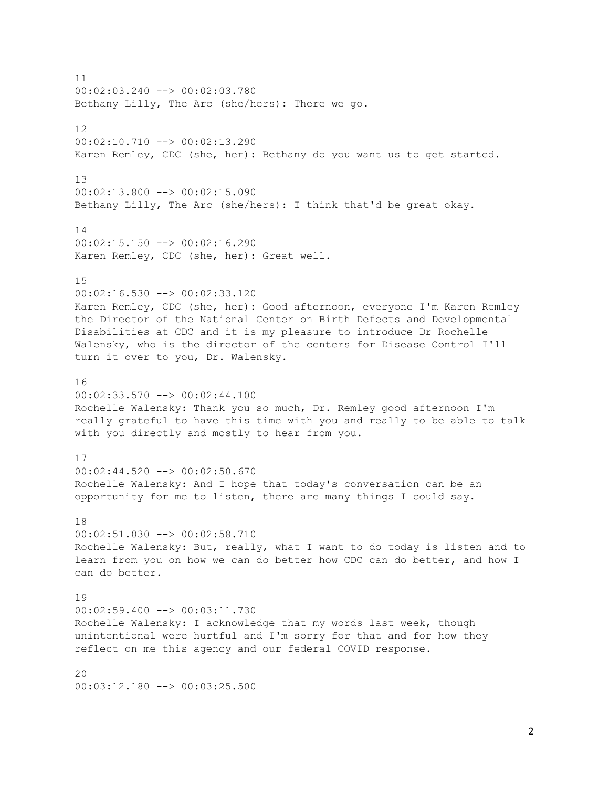11 00:02:03.240 --> 00:02:03.780 Bethany Lilly, The Arc (she/hers): There we go. 12 00:02:10.710 --> 00:02:13.290 Karen Remley, CDC (she, her): Bethany do you want us to get started. 13  $00:02:13.800$  -->  $00:02:15.090$ Bethany Lilly, The Arc (she/hers): I think that'd be great okay. 14 00:02:15.150 --> 00:02:16.290 Karen Remley, CDC (she, her): Great well. 15 00:02:16.530 --> 00:02:33.120 Karen Remley, CDC (she, her): Good afternoon, everyone I'm Karen Remley the Director of the National Center on Birth Defects and Developmental Disabilities at CDC and it is my pleasure to introduce Dr Rochelle Walensky, who is the director of the centers for Disease Control I'll turn it over to you, Dr. Walensky. 16 00:02:33.570 --> 00:02:44.100 Rochelle Walensky: Thank you so much, Dr. Remley good afternoon I'm really grateful to have this time with you and really to be able to talk with you directly and mostly to hear from you. 17 00:02:44.520 --> 00:02:50.670 Rochelle Walensky: And I hope that today's conversation can be an opportunity for me to listen, there are many things I could say. 18 00:02:51.030 --> 00:02:58.710 Rochelle Walensky: But, really, what I want to do today is listen and to learn from you on how we can do better how CDC can do better, and how I can do better. 19 00:02:59.400 --> 00:03:11.730 Rochelle Walensky: I acknowledge that my words last week, though unintentional were hurtful and I'm sorry for that and for how they reflect on me this agency and our federal COVID response. 20  $00:03:12.180$  -->  $00:03:25.500$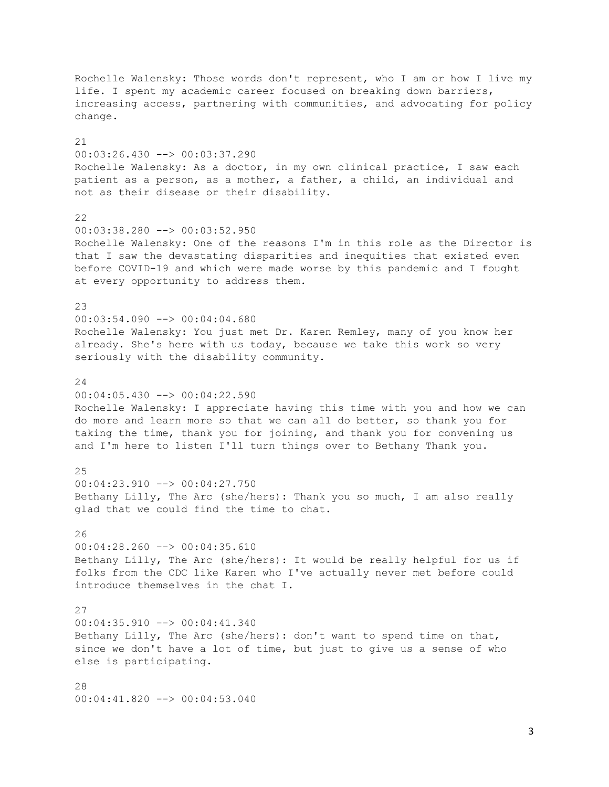Rochelle Walensky: Those words don't represent, who I am or how I live my life. I spent my academic career focused on breaking down barriers, increasing access, partnering with communities, and advocating for policy change. 21 00:03:26.430 --> 00:03:37.290 Rochelle Walensky: As a doctor, in my own clinical practice, I saw each patient as a person, as a mother, a father, a child, an individual and not as their disease or their disability. 22 00:03:38.280 --> 00:03:52.950 Rochelle Walensky: One of the reasons I'm in this role as the Director is that I saw the devastating disparities and inequities that existed even before COVID-19 and which were made worse by this pandemic and I fought at every opportunity to address them. 23  $00:03:54.090$  -->  $00:04:04.680$ Rochelle Walensky: You just met Dr. Karen Remley, many of you know her already. She's here with us today, because we take this work so very seriously with the disability community. 24 00:04:05.430 --> 00:04:22.590 Rochelle Walensky: I appreciate having this time with you and how we can do more and learn more so that we can all do better, so thank you for taking the time, thank you for joining, and thank you for convening us and I'm here to listen I'll turn things over to Bethany Thank you. 25 00:04:23.910 --> 00:04:27.750 Bethany Lilly, The Arc (she/hers): Thank you so much, I am also really glad that we could find the time to chat. 26 00:04:28.260 --> 00:04:35.610 Bethany Lilly, The Arc (she/hers): It would be really helpful for us if folks from the CDC like Karen who I've actually never met before could introduce themselves in the chat I. 27 00:04:35.910 --> 00:04:41.340 Bethany Lilly, The Arc (she/hers): don't want to spend time on that, since we don't have a lot of time, but just to give us a sense of who else is participating.  $28$ 00:04:41.820 --> 00:04:53.040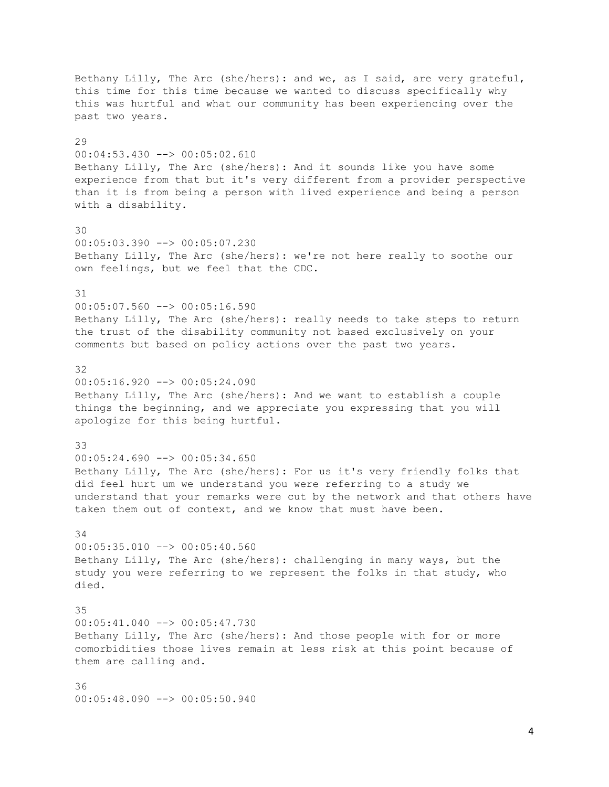Bethany Lilly, The Arc (she/hers): and we, as I said, are very grateful, this time for this time because we wanted to discuss specifically why this was hurtful and what our community has been experiencing over the past two years. 29 00:04:53.430 --> 00:05:02.610 Bethany Lilly, The Arc (she/hers): And it sounds like you have some experience from that but it's very different from a provider perspective than it is from being a person with lived experience and being a person with a disability. 30  $00:05:03.390$  -->  $00:05:07.230$ Bethany Lilly, The Arc (she/hers): we're not here really to soothe our own feelings, but we feel that the CDC. 31  $00:05:07.560$  -->  $00:05:16.590$ Bethany Lilly, The Arc (she/hers): really needs to take steps to return the trust of the disability community not based exclusively on your comments but based on policy actions over the past two years. 32 00:05:16.920 --> 00:05:24.090 Bethany Lilly, The Arc (she/hers): And we want to establish a couple things the beginning, and we appreciate you expressing that you will apologize for this being hurtful. 33  $00:05:24.690$  -->  $00:05:34.650$ Bethany Lilly, The Arc (she/hers): For us it's very friendly folks that did feel hurt um we understand you were referring to a study we understand that your remarks were cut by the network and that others have taken them out of context, and we know that must have been. 34  $00:05:35.010$  -->  $00:05:40.560$ Bethany Lilly, The Arc (she/hers): challenging in many ways, but the study you were referring to we represent the folks in that study, who died. 35 00:05:41.040 --> 00:05:47.730 Bethany Lilly, The Arc (she/hers): And those people with for or more comorbidities those lives remain at less risk at this point because of them are calling and. 36 00:05:48.090 --> 00:05:50.940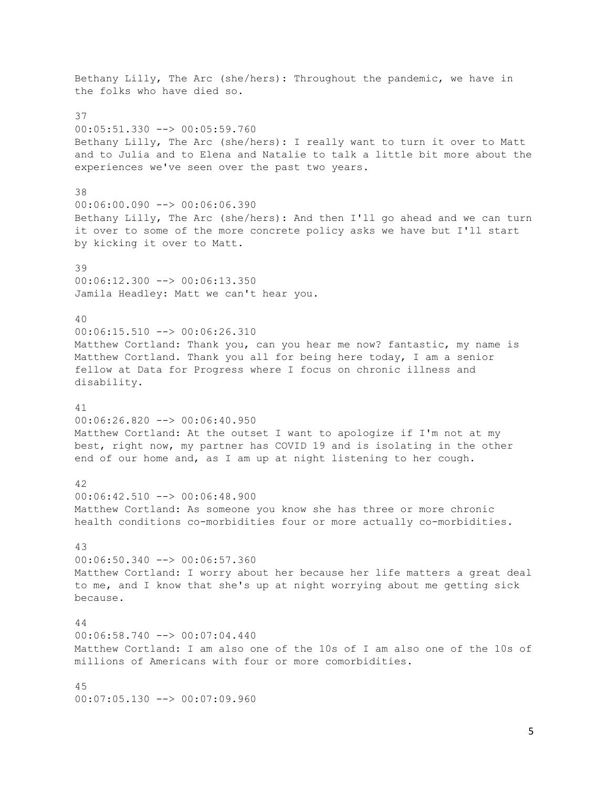Bethany Lilly, The Arc (she/hers): Throughout the pandemic, we have in the folks who have died so. 37  $00:05:51.330$   $\rightarrow$   $\rightarrow$  00:05:59.760 Bethany Lilly, The Arc (she/hers): I really want to turn it over to Matt and to Julia and to Elena and Natalie to talk a little bit more about the experiences we've seen over the past two years. 38 00:06:00.090 --> 00:06:06.390 Bethany Lilly, The Arc (she/hers): And then I'll go ahead and we can turn it over to some of the more concrete policy asks we have but I'll start by kicking it over to Matt. 39  $00:06:12.300$  -->  $00:06:13.350$ Jamila Headley: Matt we can't hear you. 40 00:06:15.510 --> 00:06:26.310 Matthew Cortland: Thank you, can you hear me now? fantastic, my name is Matthew Cortland. Thank you all for being here today, I am a senior fellow at Data for Progress where I focus on chronic illness and disability. 41 00:06:26.820 --> 00:06:40.950 Matthew Cortland: At the outset I want to apologize if I'm not at my best, right now, my partner has COVID 19 and is isolating in the other end of our home and, as I am up at night listening to her cough. 42  $00:06:42.510$   $\rightarrow$   $00:06:48.900$ Matthew Cortland: As someone you know she has three or more chronic health conditions co-morbidities four or more actually co-morbidities. 43  $00:06:50.340$  -->  $00:06:57.360$ Matthew Cortland: I worry about her because her life matters a great deal to me, and I know that she's up at night worrying about me getting sick because. 44 00:06:58.740 --> 00:07:04.440 Matthew Cortland: I am also one of the 10s of I am also one of the 10s of millions of Americans with four or more comorbidities. 45 00:07:05.130 --> 00:07:09.960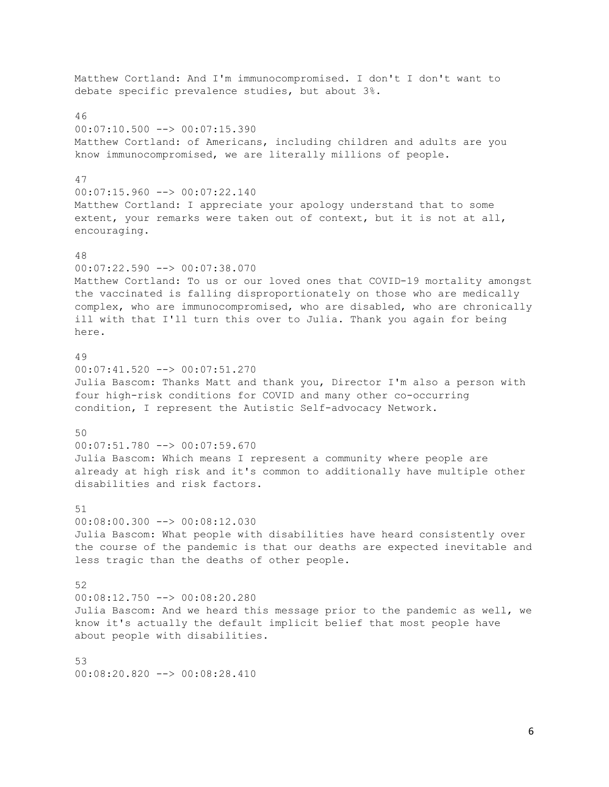Matthew Cortland: And I'm immunocompromised. I don't I don't want to debate specific prevalence studies, but about 3%. 46  $00:07:10.500$   $\rightarrow$   $00:07:15.390$ Matthew Cortland: of Americans, including children and adults are you know immunocompromised, we are literally millions of people. 47 00:07:15.960 --> 00:07:22.140 Matthew Cortland: I appreciate your apology understand that to some extent, your remarks were taken out of context, but it is not at all, encouraging. 48  $00:07:22.590$  -->  $00:07:38.070$ Matthew Cortland: To us or our loved ones that COVID-19 mortality amongst the vaccinated is falling disproportionately on those who are medically complex, who are immunocompromised, who are disabled, who are chronically ill with that I'll turn this over to Julia. Thank you again for being here. 49 00:07:41.520 --> 00:07:51.270 Julia Bascom: Thanks Matt and thank you, Director I'm also a person with four high-risk conditions for COVID and many other co-occurring condition, I represent the Autistic Self-advocacy Network. 50  $00:07:51.780$  -->  $00:07:59.670$ Julia Bascom: Which means I represent a community where people are already at high risk and it's common to additionally have multiple other disabilities and risk factors. 51 00:08:00.300 --> 00:08:12.030 Julia Bascom: What people with disabilities have heard consistently over the course of the pandemic is that our deaths are expected inevitable and less tragic than the deaths of other people. 52 00:08:12.750 --> 00:08:20.280 Julia Bascom: And we heard this message prior to the pandemic as well, we know it's actually the default implicit belief that most people have about people with disabilities. 53 00:08:20.820 --> 00:08:28.410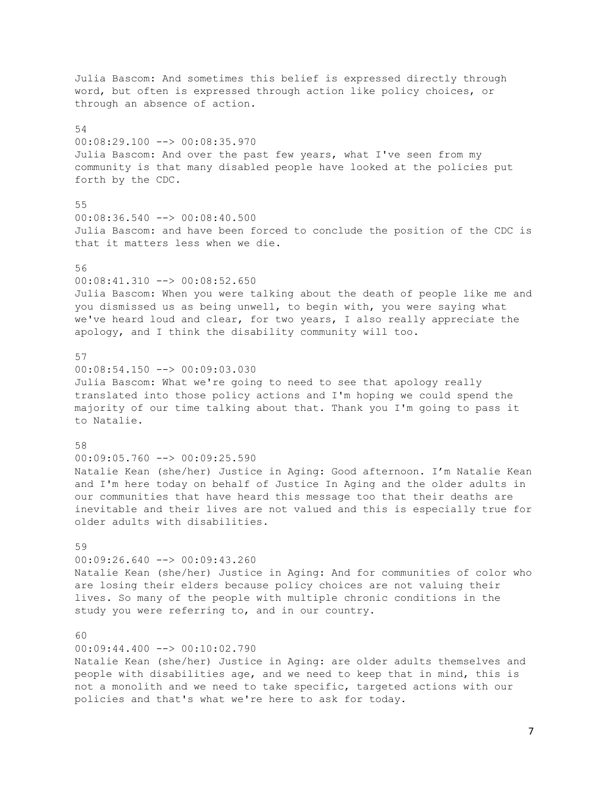Julia Bascom: And sometimes this belief is expressed directly through word, but often is expressed through action like policy choices, or through an absence of action. 54 00:08:29.100 --> 00:08:35.970 Julia Bascom: And over the past few years, what I've seen from my community is that many disabled people have looked at the policies put forth by the CDC. 55 00:08:36.540 --> 00:08:40.500 Julia Bascom: and have been forced to conclude the position of the CDC is that it matters less when we die. 56  $00:08:41.310$  -->  $00:08:52.650$ Julia Bascom: When you were talking about the death of people like me and you dismissed us as being unwell, to begin with, you were saying what we've heard loud and clear, for two years, I also really appreciate the apology, and I think the disability community will too. 57  $00:08:54.150$   $\rightarrow$  00:09:03.030 Julia Bascom: What we're going to need to see that apology really translated into those policy actions and I'm hoping we could spend the majority of our time talking about that. Thank you I'm going to pass it to Natalie. 58 00:09:05.760 --> 00:09:25.590 Natalie Kean (she/her) Justice in Aging: Good afternoon. I'm Natalie Kean and I'm here today on behalf of Justice In Aging and the older adults in our communities that have heard this message too that their deaths are inevitable and their lives are not valued and this is especially true for older adults with disabilities. 59  $00:09:26.640$  -->  $00:09:43.260$ Natalie Kean (she/her) Justice in Aging: And for communities of color who are losing their elders because policy choices are not valuing their lives. So many of the people with multiple chronic conditions in the study you were referring to, and in our country. 60  $00:09:44.400$  -->  $00:10:02.790$ Natalie Kean (she/her) Justice in Aging: are older adults themselves and people with disabilities age, and we need to keep that in mind, this is not a monolith and we need to take specific, targeted actions with our

policies and that's what we're here to ask for today.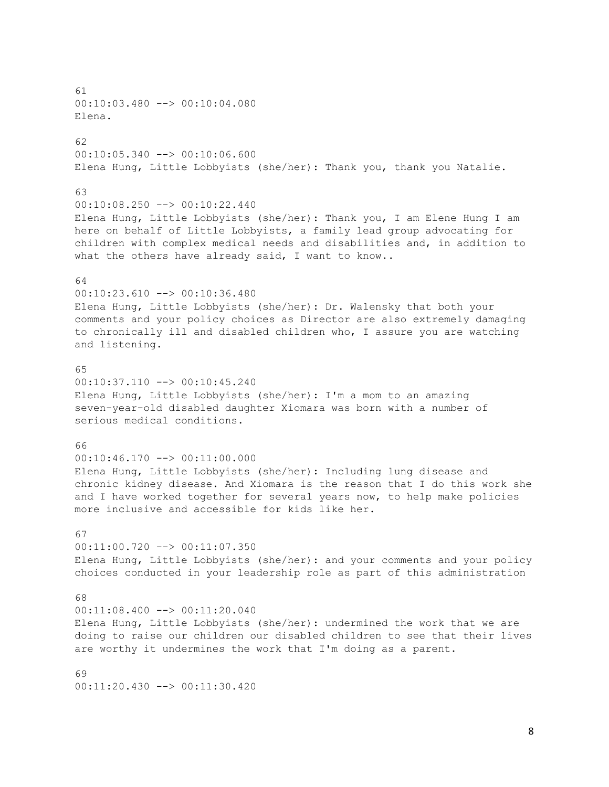## 61 00:10:03.480 --> 00:10:04.080 Elena. 62 00:10:05.340 --> 00:10:06.600 Elena Hung, Little Lobbyists (she/her): Thank you, thank you Natalie.  $63$  $00:10:08.250$  -->  $00:10:22.440$ Elena Hung, Little Lobbyists (she/her): Thank you, I am Elene Hung I am here on behalf of Little Lobbyists, a family lead group advocating for children with complex medical needs and disabilities and, in addition to what the others have already said, I want to know.. 64 00:10:23.610 --> 00:10:36.480 Elena Hung, Little Lobbyists (she/her): Dr. Walensky that both your comments and your policy choices as Director are also extremely damaging to chronically ill and disabled children who, I assure you are watching and listening. 65 00:10:37.110 --> 00:10:45.240 Elena Hung, Little Lobbyists (she/her): I'm a mom to an amazing seven-year-old disabled daughter Xiomara was born with a number of serious medical conditions. 66 00:10:46.170 --> 00:11:00.000 Elena Hung, Little Lobbyists (she/her): Including lung disease and chronic kidney disease. And Xiomara is the reason that I do this work she and I have worked together for several years now, to help make policies more inclusive and accessible for kids like her. 67 00:11:00.720 --> 00:11:07.350 Elena Hung, Little Lobbyists (she/her): and your comments and your policy choices conducted in your leadership role as part of this administration 68 00:11:08.400 --> 00:11:20.040 Elena Hung, Little Lobbyists (she/her): undermined the work that we are doing to raise our children our disabled children to see that their lives are worthy it undermines the work that I'm doing as a parent. 69

 $00:11:20.430$  -->  $00:11:30.420$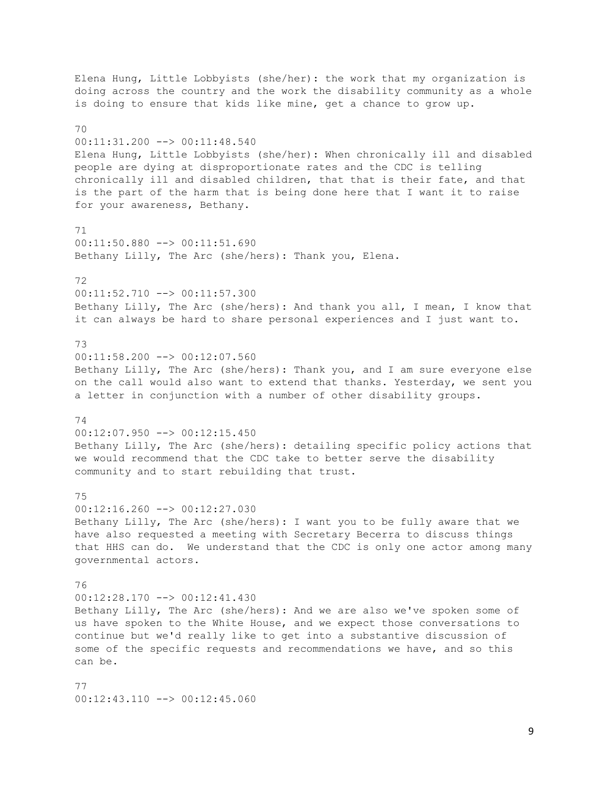Elena Hung, Little Lobbyists (she/her): the work that my organization is doing across the country and the work the disability community as a whole is doing to ensure that kids like mine, get a chance to grow up. 70 00:11:31.200 --> 00:11:48.540 Elena Hung, Little Lobbyists (she/her): When chronically ill and disabled people are dying at disproportionate rates and the CDC is telling chronically ill and disabled children, that that is their fate, and that is the part of the harm that is being done here that I want it to raise for your awareness, Bethany. 71 00:11:50.880 --> 00:11:51.690 Bethany Lilly, The Arc (she/hers): Thank you, Elena. 72 00:11:52.710 --> 00:11:57.300 Bethany Lilly, The Arc (she/hers): And thank you all, I mean, I know that it can always be hard to share personal experiences and I just want to. 73  $00:11:58.200$  -->  $00:12:07.560$ Bethany Lilly, The Arc (she/hers): Thank you, and I am sure everyone else on the call would also want to extend that thanks. Yesterday, we sent you a letter in conjunction with a number of other disability groups. 74 00:12:07.950 --> 00:12:15.450 Bethany Lilly, The Arc (she/hers): detailing specific policy actions that we would recommend that the CDC take to better serve the disability community and to start rebuilding that trust. 75 00:12:16.260 --> 00:12:27.030 Bethany Lilly, The Arc (she/hers): I want you to be fully aware that we have also requested a meeting with Secretary Becerra to discuss things that HHS can do. We understand that the CDC is only one actor among many governmental actors. 76  $00:12:28.170$  -->  $00:12:41.430$ Bethany Lilly, The Arc (she/hers): And we are also we've spoken some of us have spoken to the White House, and we expect those conversations to continue but we'd really like to get into a substantive discussion of some of the specific requests and recommendations we have, and so this can be. 77 00:12:43.110 --> 00:12:45.060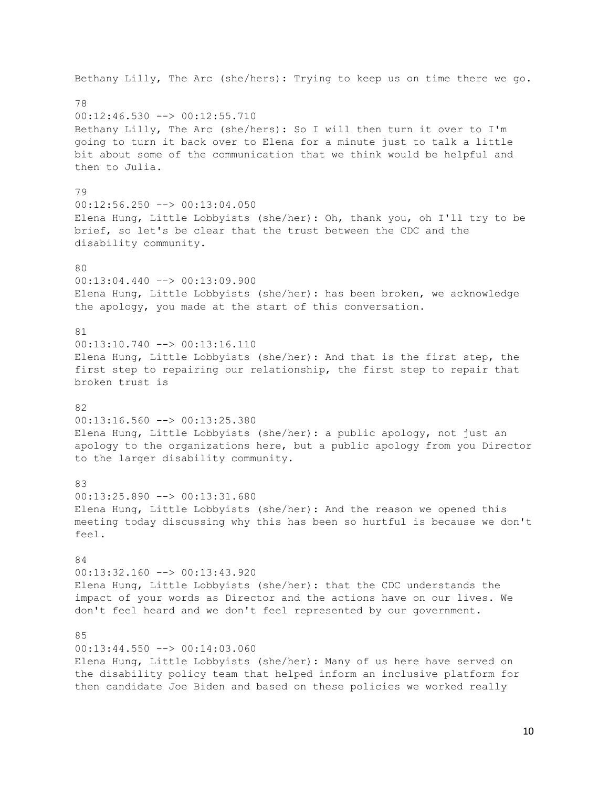## Bethany Lilly, The Arc (she/hers): Trying to keep us on time there we go. 78  $00:12:46.530$  -->  $00:12:55.710$ Bethany Lilly, The Arc (she/hers): So I will then turn it over to I'm going to turn it back over to Elena for a minute just to talk a little bit about some of the communication that we think would be helpful and then to Julia. 79  $00:12:56.250$   $\longrightarrow$   $00:13:04.050$ Elena Hung, Little Lobbyists (she/her): Oh, thank you, oh I'll try to be brief, so let's be clear that the trust between the CDC and the disability community. 80  $00:13:04.440$  -->  $00:13:09.900$ Elena Hung, Little Lobbyists (she/her): has been broken, we acknowledge the apology, you made at the start of this conversation. 81  $00:13:10.740$  -->  $00:13:16.110$ Elena Hung, Little Lobbyists (she/her): And that is the first step, the first step to repairing our relationship, the first step to repair that broken trust is 82 00:13:16.560 --> 00:13:25.380 Elena Hung, Little Lobbyists (she/her): a public apology, not just an apology to the organizations here, but a public apology from you Director to the larger disability community. 83  $00:13:25.890$  -->  $00:13:31.680$ Elena Hung, Little Lobbyists (she/her): And the reason we opened this meeting today discussing why this has been so hurtful is because we don't feel. 84  $00:13:32.160$  -->  $00:13:43.920$ Elena Hung, Little Lobbyists (she/her): that the CDC understands the impact of your words as Director and the actions have on our lives. We don't feel heard and we don't feel represented by our government. 85 00:13:44.550 --> 00:14:03.060 Elena Hung, Little Lobbyists (she/her): Many of us here have served on the disability policy team that helped inform an inclusive platform for

then candidate Joe Biden and based on these policies we worked really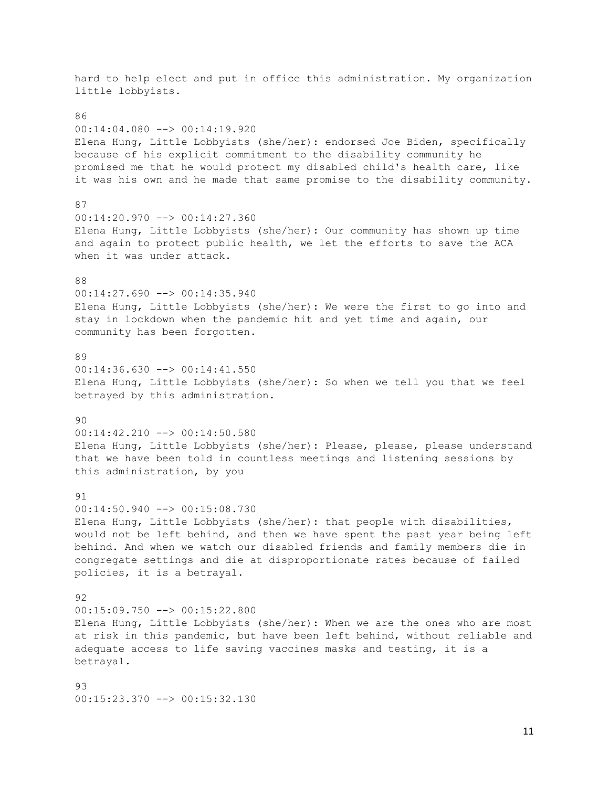hard to help elect and put in office this administration. My organization little lobbyists. 86  $00:14:04.080$   $\longrightarrow$   $00:14:19.920$ Elena Hung, Little Lobbyists (she/her): endorsed Joe Biden, specifically because of his explicit commitment to the disability community he promised me that he would protect my disabled child's health care, like it was his own and he made that same promise to the disability community. 87 00:14:20.970 --> 00:14:27.360 Elena Hung, Little Lobbyists (she/her): Our community has shown up time and again to protect public health, we let the efforts to save the ACA when it was under attack. 88 00:14:27.690 --> 00:14:35.940 Elena Hung, Little Lobbyists (she/her): We were the first to go into and stay in lockdown when the pandemic hit and yet time and again, our community has been forgotten. 89  $00:14:36.630$   $\rightarrow$   $00:14:41.550$ Elena Hung, Little Lobbyists (she/her): So when we tell you that we feel betrayed by this administration.  $90$ 00:14:42.210 --> 00:14:50.580 Elena Hung, Little Lobbyists (she/her): Please, please, please understand that we have been told in countless meetings and listening sessions by this administration, by you 91  $00:14:50.940$  -->  $00:15:08.730$ Elena Hung, Little Lobbyists (she/her): that people with disabilities, would not be left behind, and then we have spent the past year being left behind. And when we watch our disabled friends and family members die in congregate settings and die at disproportionate rates because of failed policies, it is a betrayal. 92 00:15:09.750 --> 00:15:22.800 Elena Hung, Little Lobbyists (she/her): When we are the ones who are most at risk in this pandemic, but have been left behind, without reliable and adequate access to life saving vaccines masks and testing, it is a betrayal.  $93$ 

00:15:23.370 --> 00:15:32.130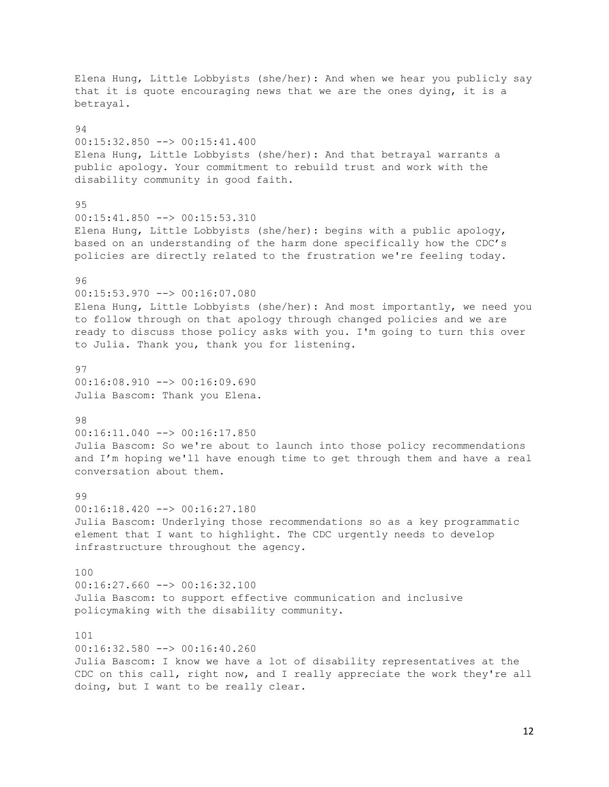Elena Hung, Little Lobbyists (she/her): And when we hear you publicly say that it is quote encouraging news that we are the ones dying, it is a betrayal. 94 00:15:32.850 --> 00:15:41.400 Elena Hung, Little Lobbyists (she/her): And that betrayal warrants a public apology. Your commitment to rebuild trust and work with the disability community in good faith. 95  $00:15:41.850$   $\rightarrow$   $00:15:53.310$ Elena Hung, Little Lobbyists (she/her): begins with a public apology, based on an understanding of the harm done specifically how the CDC's policies are directly related to the frustration we're feeling today. 96 00:15:53.970 --> 00:16:07.080 Elena Hung, Little Lobbyists (she/her): And most importantly, we need you to follow through on that apology through changed policies and we are ready to discuss those policy asks with you. I'm going to turn this over to Julia. Thank you, thank you for listening. 97 00:16:08.910 --> 00:16:09.690 Julia Bascom: Thank you Elena. 98 00:16:11.040 --> 00:16:17.850 Julia Bascom: So we're about to launch into those policy recommendations and I'm hoping we'll have enough time to get through them and have a real conversation about them. 99 00:16:18.420 --> 00:16:27.180 Julia Bascom: Underlying those recommendations so as a key programmatic element that I want to highlight. The CDC urgently needs to develop infrastructure throughout the agency. 100  $00:16:27.660$  -->  $00:16:32.100$ Julia Bascom: to support effective communication and inclusive policymaking with the disability community. 101 00:16:32.580 --> 00:16:40.260 Julia Bascom: I know we have a lot of disability representatives at the CDC on this call, right now, and I really appreciate the work they're all doing, but I want to be really clear.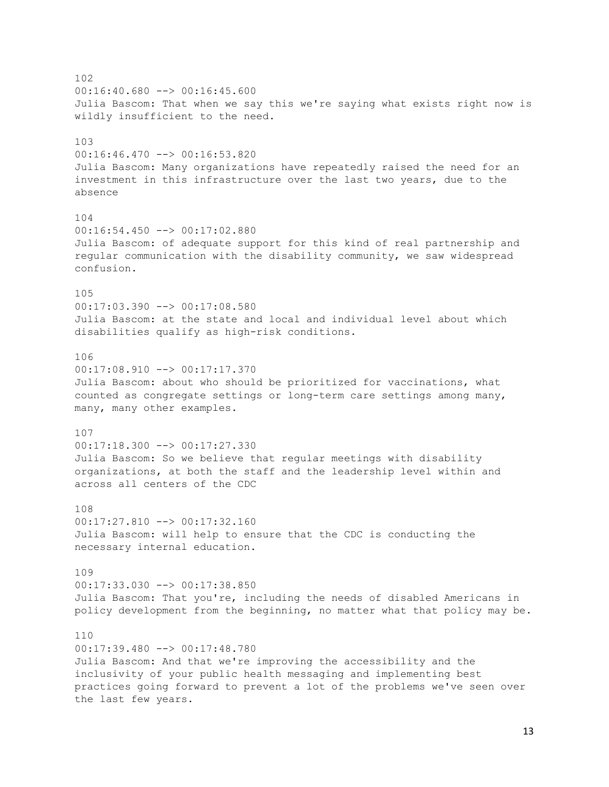102 00:16:40.680 --> 00:16:45.600 Julia Bascom: That when we say this we're saying what exists right now is wildly insufficient to the need. 103 00:16:46.470 --> 00:16:53.820 Julia Bascom: Many organizations have repeatedly raised the need for an investment in this infrastructure over the last two years, due to the absence 104 00:16:54.450 --> 00:17:02.880 Julia Bascom: of adequate support for this kind of real partnership and regular communication with the disability community, we saw widespread confusion. 105 00:17:03.390 --> 00:17:08.580 Julia Bascom: at the state and local and individual level about which disabilities qualify as high-risk conditions. 106  $00:17:08.910$   $\rightarrow$   $00:17:17.370$ Julia Bascom: about who should be prioritized for vaccinations, what counted as congregate settings or long-term care settings among many, many, many other examples. 107  $00:17:18.300$   $\rightarrow$   $00:17:27.330$ Julia Bascom: So we believe that regular meetings with disability organizations, at both the staff and the leadership level within and across all centers of the CDC 108  $00:17:27.810$   $\rightarrow$   $00:17:32.160$ Julia Bascom: will help to ensure that the CDC is conducting the necessary internal education. 109 00:17:33.030 --> 00:17:38.850 Julia Bascom: That you're, including the needs of disabled Americans in policy development from the beginning, no matter what that policy may be. 110  $00:17:39.480$   $\longrightarrow$   $00:17:48.780$ Julia Bascom: And that we're improving the accessibility and the inclusivity of your public health messaging and implementing best practices going forward to prevent a lot of the problems we've seen over the last few years.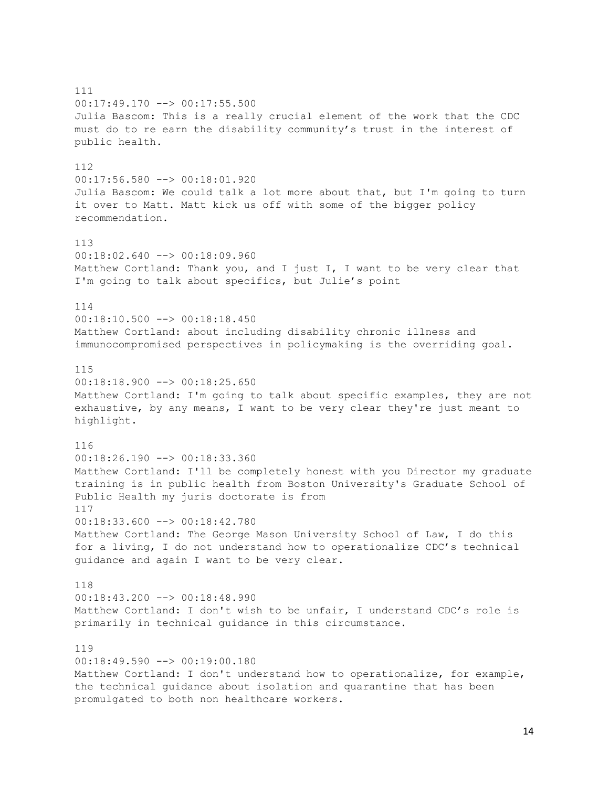111 00:17:49.170 --> 00:17:55.500 Julia Bascom: This is a really crucial element of the work that the CDC must do to re earn the disability community's trust in the interest of public health. 112 00:17:56.580 --> 00:18:01.920 Julia Bascom: We could talk a lot more about that, but I'm going to turn it over to Matt. Matt kick us off with some of the bigger policy recommendation. 113 00:18:02.640 --> 00:18:09.960 Matthew Cortland: Thank you, and I just I, I want to be very clear that I'm going to talk about specifics, but Julie's point 114  $00:18:10.500$  -->  $00:18:18.450$ Matthew Cortland: about including disability chronic illness and immunocompromised perspectives in policymaking is the overriding goal. 115  $00:18:18.900$  -->  $00:18:25.650$ Matthew Cortland: I'm going to talk about specific examples, they are not exhaustive, by any means, I want to be very clear they're just meant to highlight. 116 00:18:26.190 --> 00:18:33.360 Matthew Cortland: I'll be completely honest with you Director my graduate training is in public health from Boston University's Graduate School of Public Health my juris doctorate is from 117 00:18:33.600 --> 00:18:42.780 Matthew Cortland: The George Mason University School of Law, I do this for a living, I do not understand how to operationalize CDC's technical guidance and again I want to be very clear. 118  $00:18:43.200$  -->  $00:18:48.990$ Matthew Cortland: I don't wish to be unfair, I understand CDC's role is primarily in technical guidance in this circumstance. 119 00:18:49.590 --> 00:19:00.180 Matthew Cortland: I don't understand how to operationalize, for example, the technical guidance about isolation and quarantine that has been promulgated to both non healthcare workers.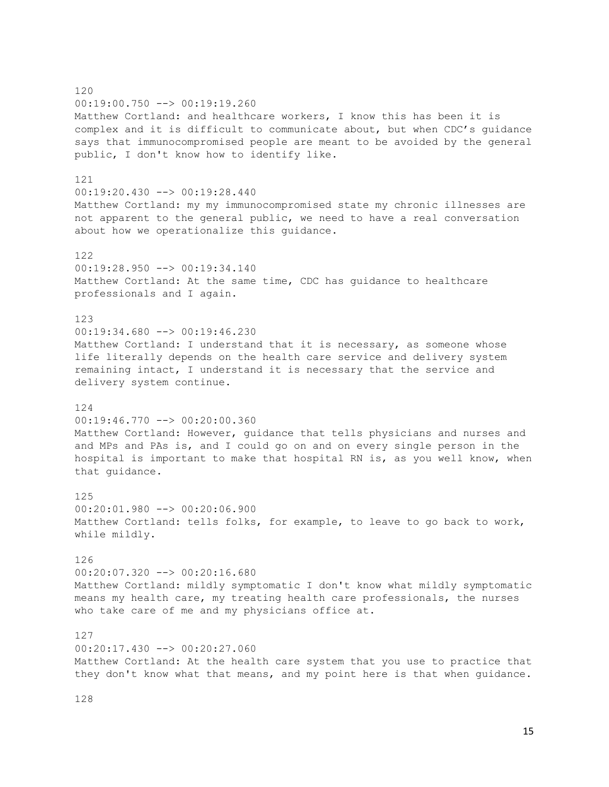## 120 00:19:00.750 --> 00:19:19.260 Matthew Cortland: and healthcare workers, I know this has been it is complex and it is difficult to communicate about, but when CDC's guidance says that immunocompromised people are meant to be avoided by the general public, I don't know how to identify like. 121  $00:19:20.430$  -->  $00:19:28.440$ Matthew Cortland: my my immunocompromised state my chronic illnesses are not apparent to the general public, we need to have a real conversation about how we operationalize this guidance. 122 00:19:28.950 --> 00:19:34.140 Matthew Cortland: At the same time, CDC has guidance to healthcare professionals and I again. 123 00:19:34.680 --> 00:19:46.230 Matthew Cortland: I understand that it is necessary, as someone whose life literally depends on the health care service and delivery system remaining intact, I understand it is necessary that the service and delivery system continue. 124 00:19:46.770 --> 00:20:00.360 Matthew Cortland: However, guidance that tells physicians and nurses and and MPs and PAs is, and I could go on and on every single person in the hospital is important to make that hospital RN is, as you well know, when that guidance. 125 00:20:01.980 --> 00:20:06.900 Matthew Cortland: tells folks, for example, to leave to go back to work, while mildly. 126  $00:20:07.320$   $\rightarrow$   $00:20:16.680$ Matthew Cortland: mildly symptomatic I don't know what mildly symptomatic means my health care, my treating health care professionals, the nurses who take care of me and my physicians office at. 127  $00:20:17.430$   $\rightarrow$   $00:20:27.060$ Matthew Cortland: At the health care system that you use to practice that they don't know what that means, and my point here is that when guidance.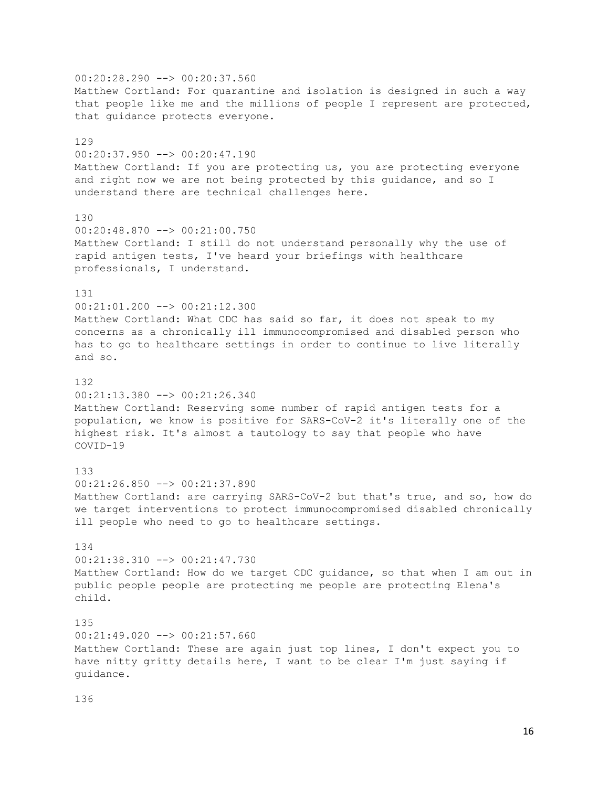00:20:28.290 --> 00:20:37.560 Matthew Cortland: For quarantine and isolation is designed in such a way that people like me and the millions of people I represent are protected, that guidance protects everyone. 129 00:20:37.950 --> 00:20:47.190 Matthew Cortland: If you are protecting us, you are protecting everyone and right now we are not being protected by this guidance, and so I understand there are technical challenges here. 130 00:20:48.870 --> 00:21:00.750 Matthew Cortland: I still do not understand personally why the use of rapid antigen tests, I've heard your briefings with healthcare professionals, I understand. 131 00:21:01.200 --> 00:21:12.300 Matthew Cortland: What CDC has said so far, it does not speak to my concerns as a chronically ill immunocompromised and disabled person who has to go to healthcare settings in order to continue to live literally and so. 132 00:21:13.380 --> 00:21:26.340 Matthew Cortland: Reserving some number of rapid antigen tests for a population, we know is positive for SARS-CoV-2 it's literally one of the highest risk. It's almost a tautology to say that people who have COVID-19 133  $00:21:26.850$  -->  $00:21:37.890$ Matthew Cortland: are carrying SARS-CoV-2 but that's true, and so, how do we target interventions to protect immunocompromised disabled chronically ill people who need to go to healthcare settings. 134  $00:21:38.310$  -->  $00:21:47.730$ Matthew Cortland: How do we target CDC guidance, so that when I am out in public people people are protecting me people are protecting Elena's child. 135 00:21:49.020 --> 00:21:57.660 Matthew Cortland: These are again just top lines, I don't expect you to have nitty gritty details here, I want to be clear I'm just saying if guidance.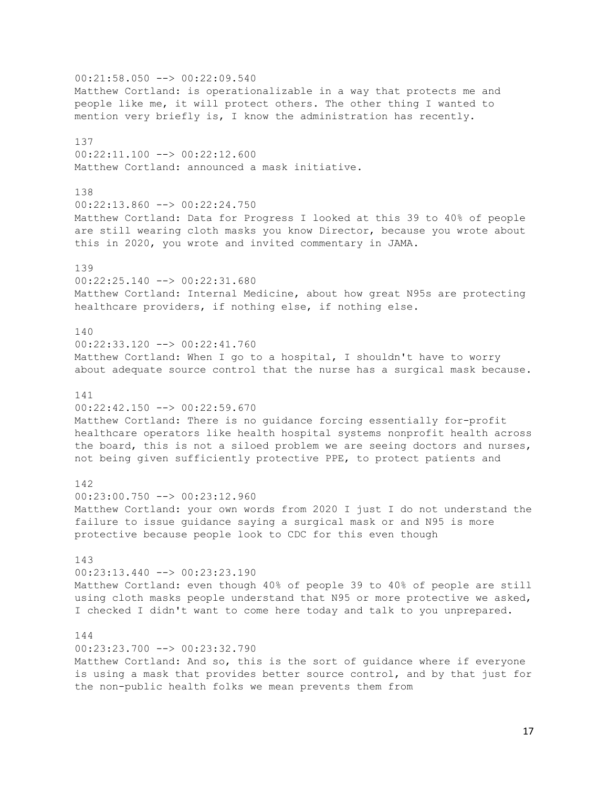00:21:58.050 --> 00:22:09.540 Matthew Cortland: is operationalizable in a way that protects me and people like me, it will protect others. The other thing I wanted to mention very briefly is, I know the administration has recently. 137 00:22:11.100 --> 00:22:12.600 Matthew Cortland: announced a mask initiative. 138  $00:22:13.860$   $\longrightarrow$   $00:22:24.750$ Matthew Cortland: Data for Progress I looked at this 39 to 40% of people are still wearing cloth masks you know Director, because you wrote about this in 2020, you wrote and invited commentary in JAMA. 139  $00:22:25.140$  -->  $00:22:31.680$ Matthew Cortland: Internal Medicine, about how great N95s are protecting healthcare providers, if nothing else, if nothing else. 140  $00:22:33.120$  -->  $00:22:41.760$ Matthew Cortland: When I go to a hospital, I shouldn't have to worry about adequate source control that the nurse has a surgical mask because. 141  $00:22:42.150$  -->  $00:22:59.670$ Matthew Cortland: There is no guidance forcing essentially for-profit healthcare operators like health hospital systems nonprofit health across the board, this is not a siloed problem we are seeing doctors and nurses, not being given sufficiently protective PPE, to protect patients and 142  $00:23:00.750$   $\rightarrow$   $00:23:12.960$ Matthew Cortland: your own words from 2020 I just I do not understand the failure to issue guidance saying a surgical mask or and N95 is more protective because people look to CDC for this even though  $143$  $00:23:13.440$   $\rightarrow$   $00:23:23.190$ Matthew Cortland: even though 40% of people 39 to 40% of people are still using cloth masks people understand that N95 or more protective we asked, I checked I didn't want to come here today and talk to you unprepared. 144  $00:23:23.700$   $\rightarrow$   $00:23:32.790$ Matthew Cortland: And so, this is the sort of guidance where if everyone is using a mask that provides better source control, and by that just for the non-public health folks we mean prevents them from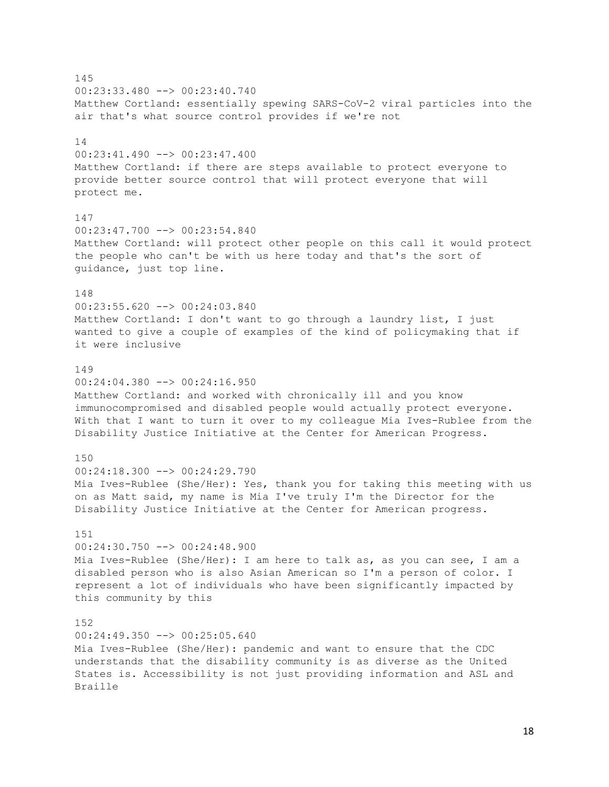145 00:23:33.480 --> 00:23:40.740 Matthew Cortland: essentially spewing SARS-CoV-2 viral particles into the air that's what source control provides if we're not 14 00:23:41.490 --> 00:23:47.400 Matthew Cortland: if there are steps available to protect everyone to provide better source control that will protect everyone that will protect me. 147 00:23:47.700 --> 00:23:54.840 Matthew Cortland: will protect other people on this call it would protect the people who can't be with us here today and that's the sort of guidance, just top line. 148 00:23:55.620 --> 00:24:03.840 Matthew Cortland: I don't want to go through a laundry list, I just wanted to give a couple of examples of the kind of policymaking that if it were inclusive 149 00:24:04.380 --> 00:24:16.950 Matthew Cortland: and worked with chronically ill and you know immunocompromised and disabled people would actually protect everyone. With that I want to turn it over to my colleague Mia Ives-Rublee from the Disability Justice Initiative at the Center for American Progress. 150 00:24:18.300 --> 00:24:29.790 Mia Ives-Rublee (She/Her): Yes, thank you for taking this meeting with us on as Matt said, my name is Mia I've truly I'm the Director for the Disability Justice Initiative at the Center for American progress. 151 00:24:30.750 --> 00:24:48.900 Mia Ives-Rublee (She/Her): I am here to talk as, as you can see, I am a disabled person who is also Asian American so I'm a person of color. I represent a lot of individuals who have been significantly impacted by this community by this 152 00:24:49.350 --> 00:25:05.640 Mia Ives-Rublee (She/Her): pandemic and want to ensure that the CDC understands that the disability community is as diverse as the United States is. Accessibility is not just providing information and ASL and Braille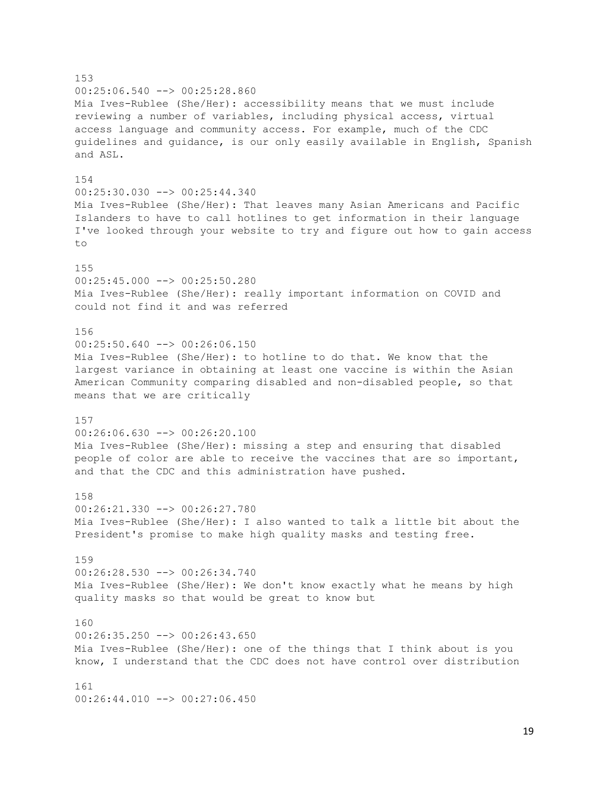153 00:25:06.540 --> 00:25:28.860 Mia Ives-Rublee (She/Her): accessibility means that we must include reviewing a number of variables, including physical access, virtual access language and community access. For example, much of the CDC guidelines and guidance, is our only easily available in English, Spanish and ASL. 154  $00:25:30.030$  -->  $00:25:44.340$ Mia Ives-Rublee (She/Her): That leaves many Asian Americans and Pacific Islanders to have to call hotlines to get information in their language I've looked through your website to try and figure out how to gain access to 155  $00:25:45.000$   $\rightarrow$   $00:25:50.280$ Mia Ives-Rublee (She/Her): really important information on COVID and could not find it and was referred 156  $00:25:50.640$  -->  $00:26:06.150$ Mia Ives-Rublee (She/Her): to hotline to do that. We know that the largest variance in obtaining at least one vaccine is within the Asian American Community comparing disabled and non-disabled people, so that means that we are critically 157 00:26:06.630 --> 00:26:20.100 Mia Ives-Rublee (She/Her): missing a step and ensuring that disabled people of color are able to receive the vaccines that are so important, and that the CDC and this administration have pushed. 158 00:26:21.330 --> 00:26:27.780 Mia Ives-Rublee (She/Her): I also wanted to talk a little bit about the President's promise to make high quality masks and testing free. 159  $00:26:28.530$   $\longrightarrow$   $00:26:34.740$ Mia Ives-Rublee (She/Her): We don't know exactly what he means by high quality masks so that would be great to know but 160 00:26:35.250 --> 00:26:43.650 Mia Ives-Rublee (She/Her): one of the things that I think about is you know, I understand that the CDC does not have control over distribution 161 00:26:44.010 --> 00:27:06.450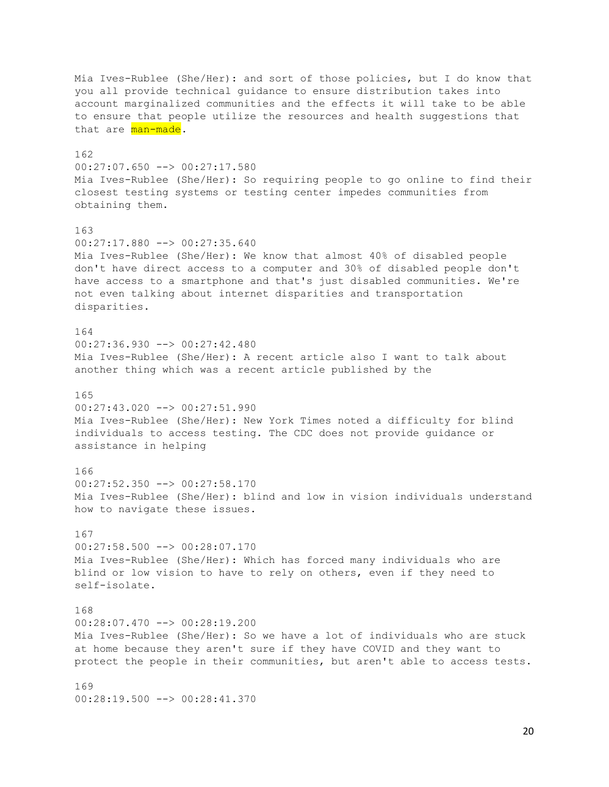Mia Ives-Rublee (She/Her): and sort of those policies, but I do know that you all provide technical guidance to ensure distribution takes into account marginalized communities and the effects it will take to be able to ensure that people utilize the resources and health suggestions that that are man-made. 162 00:27:07.650 --> 00:27:17.580 Mia Ives-Rublee (She/Her): So requiring people to go online to find their closest testing systems or testing center impedes communities from obtaining them. 163  $00:27:17.880$  -->  $00:27:35.640$ Mia Ives-Rublee (She/Her): We know that almost 40% of disabled people don't have direct access to a computer and 30% of disabled people don't have access to a smartphone and that's just disabled communities. We're not even talking about internet disparities and transportation disparities. 164  $00:27:36.930$  -->  $00:27:42.480$ Mia Ives-Rublee (She/Her): A recent article also I want to talk about another thing which was a recent article published by the 165  $00:27:43.020$  -->  $00:27:51.990$ Mia Ives-Rublee (She/Her): New York Times noted a difficulty for blind individuals to access testing. The CDC does not provide guidance or assistance in helping 166  $00:27:52.350$  -->  $00:27:58.170$ Mia Ives-Rublee (She/Her): blind and low in vision individuals understand how to navigate these issues. 167 00:27:58.500 --> 00:28:07.170 Mia Ives-Rublee (She/Her): Which has forced many individuals who are blind or low vision to have to rely on others, even if they need to self-isolate. 168  $00:28:07.470$  -->  $00:28:19.200$ Mia Ives-Rublee (She/Her): So we have a lot of individuals who are stuck at home because they aren't sure if they have COVID and they want to protect the people in their communities, but aren't able to access tests. 169 00:28:19.500 --> 00:28:41.370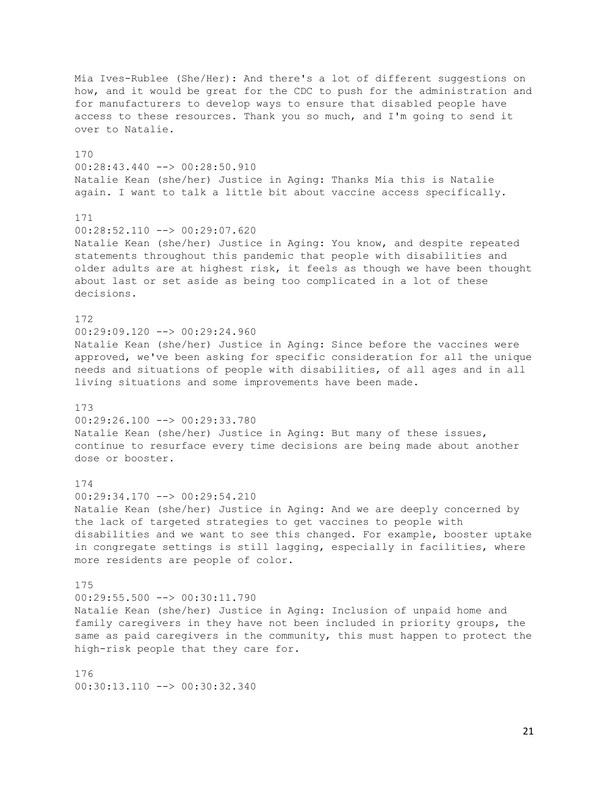Mia Ives-Rublee (She/Her): And there's a lot of different suggestions on how, and it would be great for the CDC to push for the administration and for manufacturers to develop ways to ensure that disabled people have access to these resources. Thank you so much, and I'm going to send it over to Natalie. 170 00:28:43.440 --> 00:28:50.910 Natalie Kean (she/her) Justice in Aging: Thanks Mia this is Natalie again. I want to talk a little bit about vaccine access specifically. 171 00:28:52.110 --> 00:29:07.620 Natalie Kean (she/her) Justice in Aging: You know, and despite repeated statements throughout this pandemic that people with disabilities and older adults are at highest risk, it feels as though we have been thought about last or set aside as being too complicated in a lot of these decisions. 172 00:29:09.120 --> 00:29:24.960 Natalie Kean (she/her) Justice in Aging: Since before the vaccines were approved, we've been asking for specific consideration for all the unique needs and situations of people with disabilities, of all ages and in all living situations and some improvements have been made. 173 00:29:26.100 --> 00:29:33.780 Natalie Kean (she/her) Justice in Aging: But many of these issues, continue to resurface every time decisions are being made about another dose or booster. 174 00:29:34.170 --> 00:29:54.210 Natalie Kean (she/her) Justice in Aging: And we are deeply concerned by the lack of targeted strategies to get vaccines to people with disabilities and we want to see this changed. For example, booster uptake in congregate settings is still lagging, especially in facilities, where more residents are people of color. 175 00:29:55.500 --> 00:30:11.790 Natalie Kean (she/her) Justice in Aging: Inclusion of unpaid home and family caregivers in they have not been included in priority groups, the same as paid caregivers in the community, this must happen to protect the high-risk people that they care for. 176 00:30:13.110 --> 00:30:32.340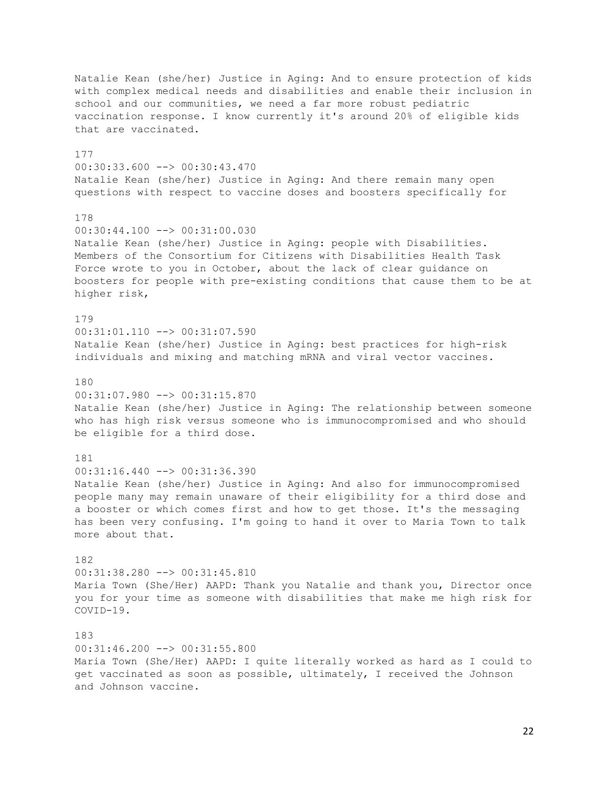Natalie Kean (she/her) Justice in Aging: And to ensure protection of kids with complex medical needs and disabilities and enable their inclusion in school and our communities, we need a far more robust pediatric vaccination response. I know currently it's around 20% of eligible kids that are vaccinated. 177 00:30:33.600 --> 00:30:43.470 Natalie Kean (she/her) Justice in Aging: And there remain many open questions with respect to vaccine doses and boosters specifically for 178 00:30:44.100 --> 00:31:00.030 Natalie Kean (she/her) Justice in Aging: people with Disabilities. Members of the Consortium for Citizens with Disabilities Health Task Force wrote to you in October, about the lack of clear guidance on boosters for people with pre-existing conditions that cause them to be at higher risk, 179 00:31:01.110 --> 00:31:07.590 Natalie Kean (she/her) Justice in Aging: best practices for high-risk individuals and mixing and matching mRNA and viral vector vaccines. 180 00:31:07.980 --> 00:31:15.870 Natalie Kean (she/her) Justice in Aging: The relationship between someone who has high risk versus someone who is immunocompromised and who should be eligible for a third dose. 181 00:31:16.440 --> 00:31:36.390 Natalie Kean (she/her) Justice in Aging: And also for immunocompromised people many may remain unaware of their eligibility for a third dose and a booster or which comes first and how to get those. It's the messaging has been very confusing. I'm going to hand it over to Maria Town to talk more about that. 182 00:31:38.280 --> 00:31:45.810 Maria Town (She/Her) AAPD: Thank you Natalie and thank you, Director once you for your time as someone with disabilities that make me high risk for COVID-19. 183 00:31:46.200 --> 00:31:55.800 Maria Town (She/Her) AAPD: I quite literally worked as hard as I could to get vaccinated as soon as possible, ultimately, I received the Johnson

and Johnson vaccine.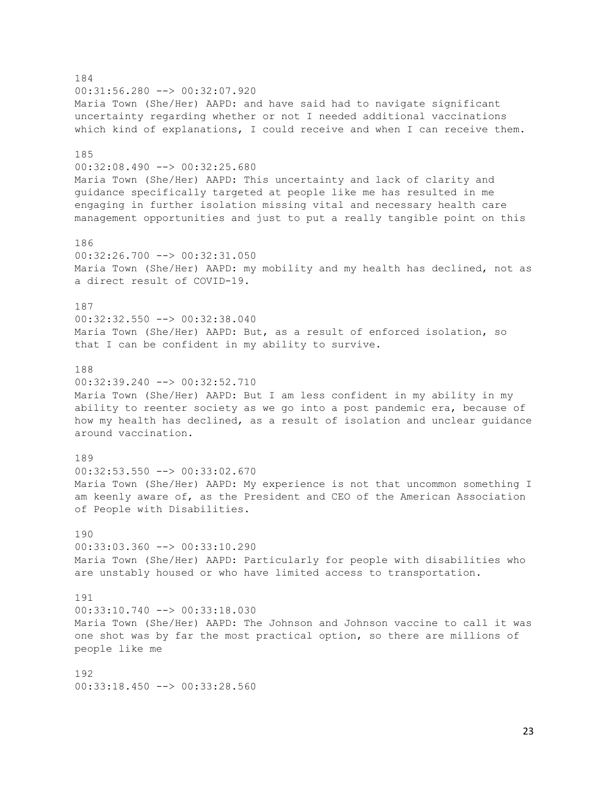184 00:31:56.280 --> 00:32:07.920 Maria Town (She/Her) AAPD: and have said had to navigate significant uncertainty regarding whether or not I needed additional vaccinations which kind of explanations, I could receive and when I can receive them. 185 00:32:08.490 --> 00:32:25.680 Maria Town (She/Her) AAPD: This uncertainty and lack of clarity and guidance specifically targeted at people like me has resulted in me engaging in further isolation missing vital and necessary health care management opportunities and just to put a really tangible point on this 186 00:32:26.700 --> 00:32:31.050 Maria Town (She/Her) AAPD: my mobility and my health has declined, not as a direct result of COVID-19. 187 00:32:32.550 --> 00:32:38.040 Maria Town (She/Her) AAPD: But, as a result of enforced isolation, so that I can be confident in my ability to survive. 188 00:32:39.240 --> 00:32:52.710 Maria Town (She/Her) AAPD: But I am less confident in my ability in my ability to reenter society as we go into a post pandemic era, because of how my health has declined, as a result of isolation and unclear guidance around vaccination. 189 00:32:53.550 --> 00:33:02.670 Maria Town (She/Her) AAPD: My experience is not that uncommon something I am keenly aware of, as the President and CEO of the American Association of People with Disabilities. 190 00:33:03.360 --> 00:33:10.290 Maria Town (She/Her) AAPD: Particularly for people with disabilities who are unstably housed or who have limited access to transportation. 191  $00:33:10.740$  -->  $00:33:18.030$ Maria Town (She/Her) AAPD: The Johnson and Johnson vaccine to call it was one shot was by far the most practical option, so there are millions of people like me 192 00:33:18.450 --> 00:33:28.560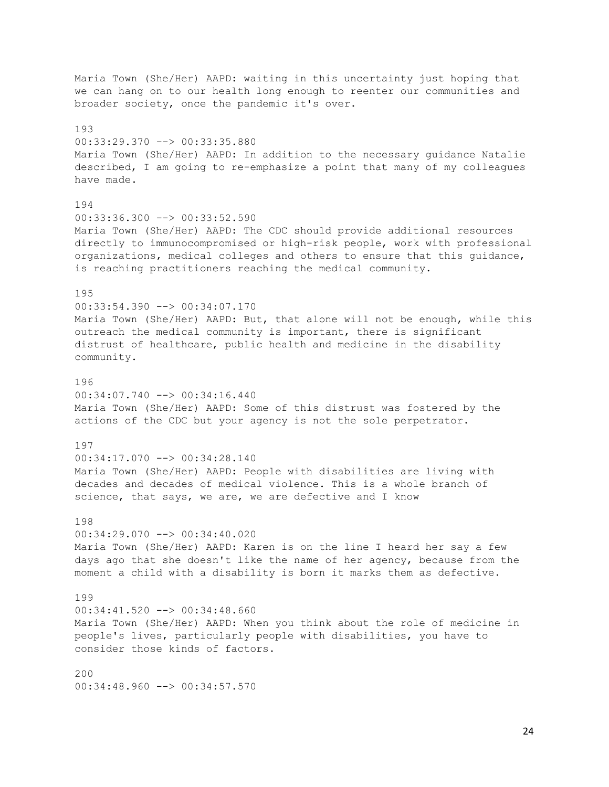Maria Town (She/Her) AAPD: waiting in this uncertainty just hoping that we can hang on to our health long enough to reenter our communities and broader society, once the pandemic it's over. 193 00:33:29.370 --> 00:33:35.880 Maria Town (She/Her) AAPD: In addition to the necessary guidance Natalie described, I am going to re-emphasize a point that many of my colleagues have made. 194 00:33:36.300 --> 00:33:52.590 Maria Town (She/Her) AAPD: The CDC should provide additional resources directly to immunocompromised or high-risk people, work with professional organizations, medical colleges and others to ensure that this guidance, is reaching practitioners reaching the medical community. 195 00:33:54.390 --> 00:34:07.170 Maria Town (She/Her) AAPD: But, that alone will not be enough, while this outreach the medical community is important, there is significant distrust of healthcare, public health and medicine in the disability community. 196 00:34:07.740 --> 00:34:16.440 Maria Town (She/Her) AAPD: Some of this distrust was fostered by the actions of the CDC but your agency is not the sole perpetrator. 197 00:34:17.070 --> 00:34:28.140 Maria Town (She/Her) AAPD: People with disabilities are living with decades and decades of medical violence. This is a whole branch of science, that says, we are, we are defective and I know 198 00:34:29.070 --> 00:34:40.020 Maria Town (She/Her) AAPD: Karen is on the line I heard her say a few days ago that she doesn't like the name of her agency, because from the moment a child with a disability is born it marks them as defective. 199 00:34:41.520 --> 00:34:48.660 Maria Town (She/Her) AAPD: When you think about the role of medicine in people's lives, particularly people with disabilities, you have to consider those kinds of factors. 200  $00:34:48.960$  -->  $00:34:57.570$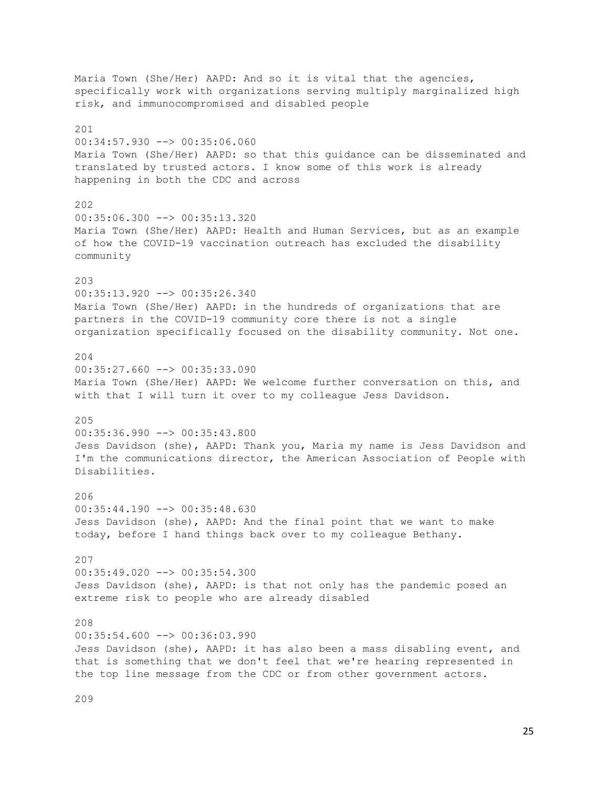Maria Town (She/Her) AAPD: And so it is vital that the agencies, specifically work with organizations serving multiply marginalized high risk, and immunocompromised and disabled people 201 00:34:57.930 --> 00:35:06.060 Maria Town (She/Her) AAPD: so that this guidance can be disseminated and translated by trusted actors. I know some of this work is already happening in both the CDC and across 202  $00:35:06.300$   $\rightarrow$   $\rightarrow$   $00:35:13.320$ Maria Town (She/Her) AAPD: Health and Human Services, but as an example of how the COVID-19 vaccination outreach has excluded the disability community 203 00:35:13.920 --> 00:35:26.340 Maria Town (She/Her) AAPD: in the hundreds of organizations that are partners in the COVID-19 community core there is not a single organization specifically focused on the disability community. Not one. 204  $00:35:27.660$   $\rightarrow$   $00:35:33.090$ Maria Town (She/Her) AAPD: We welcome further conversation on this, and with that I will turn it over to my colleague Jess Davidson. 205 00:35:36.990 --> 00:35:43.800 Jess Davidson (she), AAPD: Thank you, Maria my name is Jess Davidson and I'm the communications director, the American Association of People with Disabilities. 206 00:35:44.190 --> 00:35:48.630 Jess Davidson (she), AAPD: And the final point that we want to make today, before I hand things back over to my colleague Bethany. 207  $00:35:49.020$   $\rightarrow$   $00:35:54.300$ Jess Davidson (she), AAPD: is that not only has the pandemic posed an extreme risk to people who are already disabled 208  $00:35:54.600$  -->  $00:36:03.990$ Jess Davidson (she), AAPD: it has also been a mass disabling event, and that is something that we don't feel that we're hearing represented in the top line message from the CDC or from other government actors.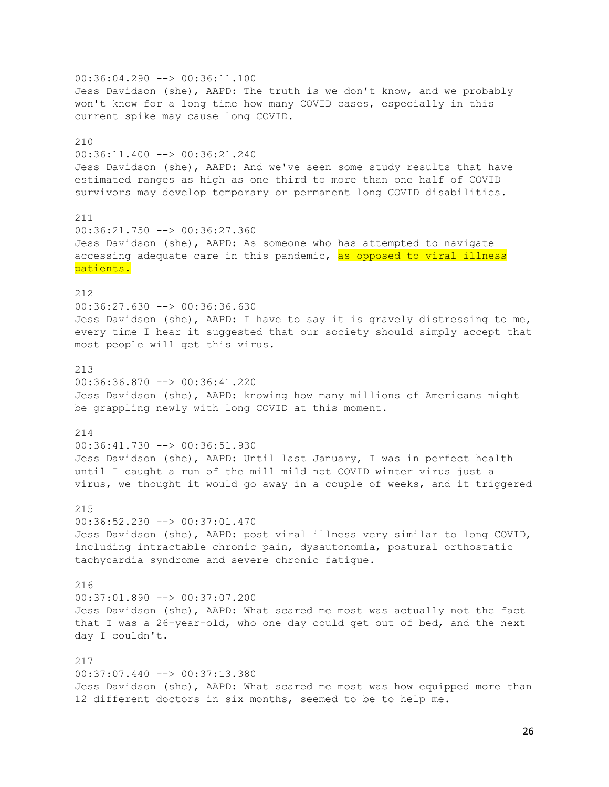00:36:04.290 --> 00:36:11.100 Jess Davidson (she), AAPD: The truth is we don't know, and we probably won't know for a long time how many COVID cases, especially in this current spike may cause long COVID. 210 00:36:11.400 --> 00:36:21.240 Jess Davidson (she), AAPD: And we've seen some study results that have estimated ranges as high as one third to more than one half of COVID survivors may develop temporary or permanent long COVID disabilities. 211 00:36:21.750 --> 00:36:27.360 Jess Davidson (she), AAPD: As someone who has attempted to navigate accessing adequate care in this pandemic, as opposed to viral illness patients. 212 00:36:27.630 --> 00:36:36.630 Jess Davidson (she), AAPD: I have to say it is gravely distressing to me, every time I hear it suggested that our society should simply accept that most people will get this virus. 213 00:36:36.870 --> 00:36:41.220 Jess Davidson (she), AAPD: knowing how many millions of Americans might be grappling newly with long COVID at this moment. 214 00:36:41.730 --> 00:36:51.930 Jess Davidson (she), AAPD: Until last January, I was in perfect health until I caught a run of the mill mild not COVID winter virus just a virus, we thought it would go away in a couple of weeks, and it triggered 215  $00:36:52.230$  -->  $00:37:01.470$ Jess Davidson (she), AAPD: post viral illness very similar to long COVID, including intractable chronic pain, dysautonomia, postural orthostatic tachycardia syndrome and severe chronic fatigue. 216 00:37:01.890 --> 00:37:07.200 Jess Davidson (she), AAPD: What scared me most was actually not the fact that I was a 26-year-old, who one day could get out of bed, and the next day I couldn't. 217 00:37:07.440 --> 00:37:13.380 Jess Davidson (she), AAPD: What scared me most was how equipped more than 12 different doctors in six months, seemed to be to help me.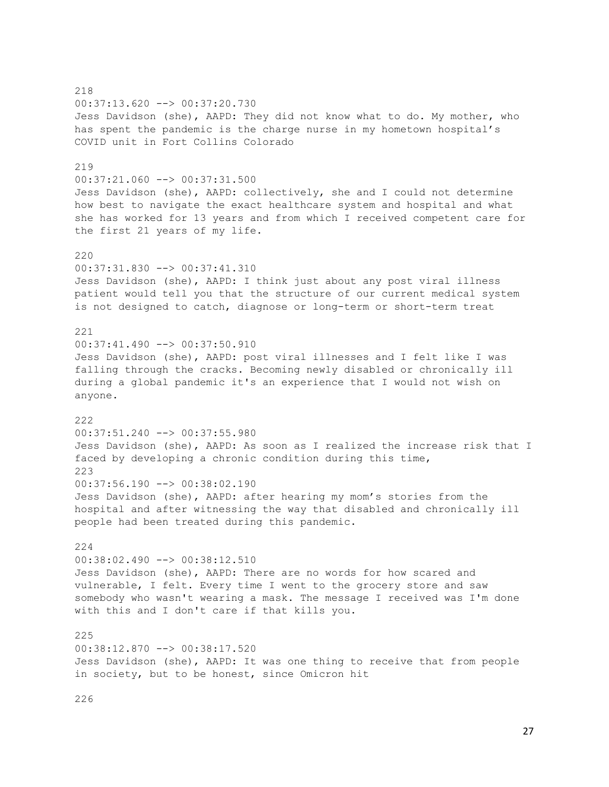218 00:37:13.620 --> 00:37:20.730 Jess Davidson (she), AAPD: They did not know what to do. My mother, who has spent the pandemic is the charge nurse in my hometown hospital's COVID unit in Fort Collins Colorado 219 00:37:21.060 --> 00:37:31.500 Jess Davidson (she), AAPD: collectively, she and I could not determine how best to navigate the exact healthcare system and hospital and what she has worked for 13 years and from which I received competent care for the first 21 years of my life. 220 00:37:31.830 --> 00:37:41.310 Jess Davidson (she), AAPD: I think just about any post viral illness patient would tell you that the structure of our current medical system is not designed to catch, diagnose or long-term or short-term treat 221  $00:37:41.490$  -->  $00:37:50.910$ Jess Davidson (she), AAPD: post viral illnesses and I felt like I was falling through the cracks. Becoming newly disabled or chronically ill during a global pandemic it's an experience that I would not wish on anyone. 222 00:37:51.240 --> 00:37:55.980 Jess Davidson (she), AAPD: As soon as I realized the increase risk that I faced by developing a chronic condition during this time, 223  $00:37:56.190$  -->  $00:38:02.190$ Jess Davidson (she), AAPD: after hearing my mom's stories from the hospital and after witnessing the way that disabled and chronically ill people had been treated during this pandemic. 224  $00:38:02.490$  -->  $00:38:12.510$ Jess Davidson (she), AAPD: There are no words for how scared and vulnerable, I felt. Every time I went to the grocery store and saw somebody who wasn't wearing a mask. The message I received was I'm done with this and I don't care if that kills you. 225  $00:38:12.870$   $\longrightarrow$   $00:38:17.520$ Jess Davidson (she), AAPD: It was one thing to receive that from people in society, but to be honest, since Omicron hit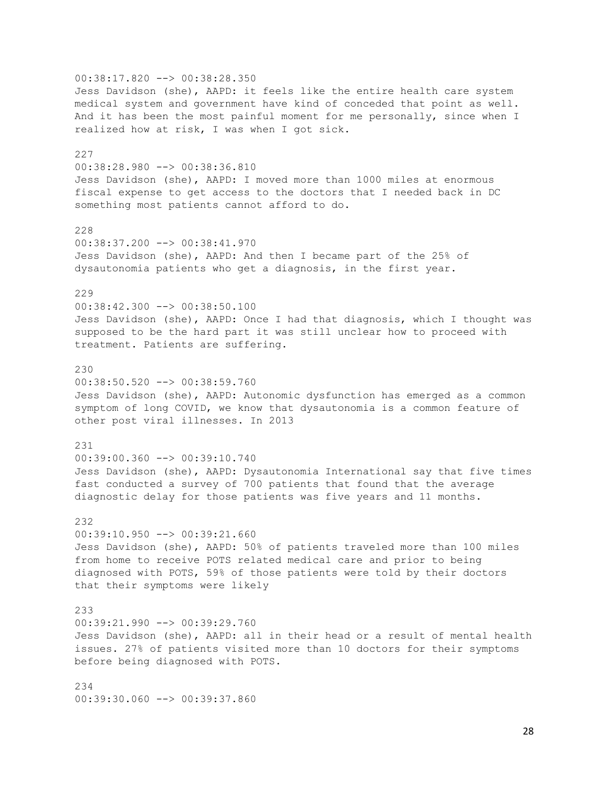00:38:17.820 --> 00:38:28.350 Jess Davidson (she), AAPD: it feels like the entire health care system medical system and government have kind of conceded that point as well. And it has been the most painful moment for me personally, since when I realized how at risk, I was when I got sick. 227 00:38:28.980 --> 00:38:36.810 Jess Davidson (she), AAPD: I moved more than 1000 miles at enormous fiscal expense to get access to the doctors that I needed back in DC something most patients cannot afford to do. 228  $00:38:37.200$  -->  $00:38:41.970$ Jess Davidson (she), AAPD: And then I became part of the 25% of dysautonomia patients who get a diagnosis, in the first year. 229 00:38:42.300 --> 00:38:50.100 Jess Davidson (she), AAPD: Once I had that diagnosis, which I thought was supposed to be the hard part it was still unclear how to proceed with treatment. Patients are suffering. 230 00:38:50.520 --> 00:38:59.760 Jess Davidson (she), AAPD: Autonomic dysfunction has emerged as a common symptom of long COVID, we know that dysautonomia is a common feature of other post viral illnesses. In 2013 231 00:39:00.360 --> 00:39:10.740 Jess Davidson (she), AAPD: Dysautonomia International say that five times fast conducted a survey of 700 patients that found that the average diagnostic delay for those patients was five years and 11 months. 232 00:39:10.950 --> 00:39:21.660 Jess Davidson (she), AAPD: 50% of patients traveled more than 100 miles from home to receive POTS related medical care and prior to being diagnosed with POTS, 59% of those patients were told by their doctors that their symptoms were likely 233 00:39:21.990 --> 00:39:29.760 Jess Davidson (she), AAPD: all in their head or a result of mental health issues. 27% of patients visited more than 10 doctors for their symptoms before being diagnosed with POTS.  $234$ 00:39:30.060 --> 00:39:37.860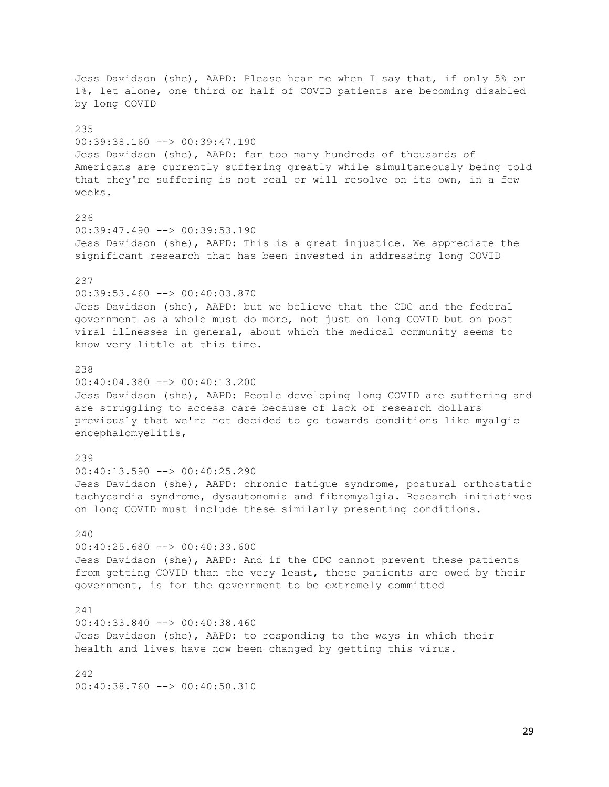Jess Davidson (she), AAPD: Please hear me when I say that, if only 5% or 1%, let alone, one third or half of COVID patients are becoming disabled by long COVID 235 00:39:38.160 --> 00:39:47.190 Jess Davidson (she), AAPD: far too many hundreds of thousands of Americans are currently suffering greatly while simultaneously being told that they're suffering is not real or will resolve on its own, in a few weeks. 236 00:39:47.490 --> 00:39:53.190 Jess Davidson (she), AAPD: This is a great injustice. We appreciate the significant research that has been invested in addressing long COVID 237 00:39:53.460 --> 00:40:03.870 Jess Davidson (she), AAPD: but we believe that the CDC and the federal government as a whole must do more, not just on long COVID but on post viral illnesses in general, about which the medical community seems to know very little at this time. 238 00:40:04.380 --> 00:40:13.200 Jess Davidson (she), AAPD: People developing long COVID are suffering and are struggling to access care because of lack of research dollars previously that we're not decided to go towards conditions like myalgic encephalomyelitis, 239 00:40:13.590 --> 00:40:25.290 Jess Davidson (she), AAPD: chronic fatigue syndrome, postural orthostatic tachycardia syndrome, dysautonomia and fibromyalgia. Research initiatives on long COVID must include these similarly presenting conditions. 240  $00:40:25.680$  -->  $00:40:33.600$ Jess Davidson (she), AAPD: And if the CDC cannot prevent these patients from getting COVID than the very least, these patients are owed by their government, is for the government to be extremely committed 241 00:40:33.840 --> 00:40:38.460 Jess Davidson (she), AAPD: to responding to the ways in which their health and lives have now been changed by getting this virus. 242  $00:40:38.760$  -->  $00:40:50.310$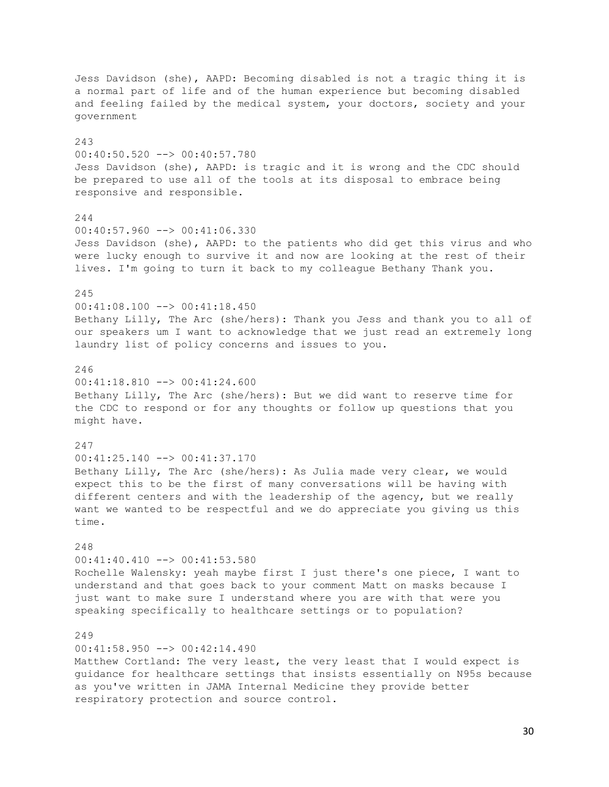Jess Davidson (she), AAPD: Becoming disabled is not a tragic thing it is a normal part of life and of the human experience but becoming disabled and feeling failed by the medical system, your doctors, society and your government 243 00:40:50.520 --> 00:40:57.780 Jess Davidson (she), AAPD: is tragic and it is wrong and the CDC should be prepared to use all of the tools at its disposal to embrace being responsive and responsible. 244  $00:40:57.960$  -->  $00:41:06.330$ Jess Davidson (she), AAPD: to the patients who did get this virus and who were lucky enough to survive it and now are looking at the rest of their lives. I'm going to turn it back to my colleague Bethany Thank you. 245 00:41:08.100 --> 00:41:18.450 Bethany Lilly, The Arc (she/hers): Thank you Jess and thank you to all of our speakers um I want to acknowledge that we just read an extremely long laundry list of policy concerns and issues to you. 246 00:41:18.810 --> 00:41:24.600 Bethany Lilly, The Arc (she/hers): But we did want to reserve time for the CDC to respond or for any thoughts or follow up questions that you might have. 247 00:41:25.140 --> 00:41:37.170 Bethany Lilly, The Arc (she/hers): As Julia made very clear, we would expect this to be the first of many conversations will be having with different centers and with the leadership of the agency, but we really want we wanted to be respectful and we do appreciate you giving us this time. 248  $00:41:40.410$   $\longrightarrow$   $00:41:53.580$ Rochelle Walensky: yeah maybe first I just there's one piece, I want to understand and that goes back to your comment Matt on masks because I just want to make sure I understand where you are with that were you speaking specifically to healthcare settings or to population? 249  $00:41:58.950$   $\longrightarrow$   $00:42:14.490$ Matthew Cortland: The very least, the very least that I would expect is guidance for healthcare settings that insists essentially on N95s because as you've written in JAMA Internal Medicine they provide better

respiratory protection and source control.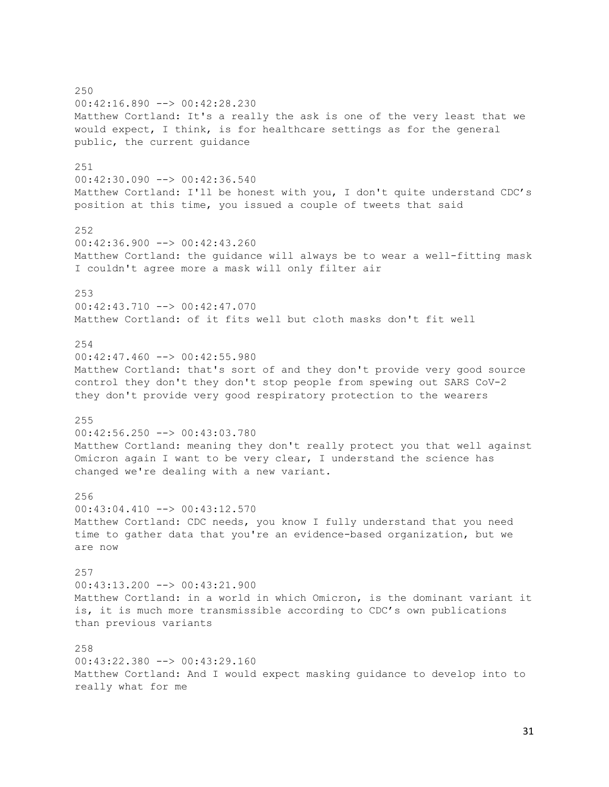250 00:42:16.890 --> 00:42:28.230 Matthew Cortland: It's a really the ask is one of the very least that we would expect, I think, is for healthcare settings as for the general public, the current guidance 251 00:42:30.090 --> 00:42:36.540 Matthew Cortland: I'll be honest with you, I don't quite understand CDC's position at this time, you issued a couple of tweets that said  $252$  $00:42:36.900$  -->  $00:42:43.260$ Matthew Cortland: the guidance will always be to wear a well-fitting mask I couldn't agree more a mask will only filter air 253 00:42:43.710 --> 00:42:47.070 Matthew Cortland: of it fits well but cloth masks don't fit well 254  $00:42:47.460$  -->  $00:42:55.980$ Matthew Cortland: that's sort of and they don't provide very good source control they don't they don't stop people from spewing out SARS CoV-2 they don't provide very good respiratory protection to the wearers 255 00:42:56.250 --> 00:43:03.780 Matthew Cortland: meaning they don't really protect you that well against Omicron again I want to be very clear, I understand the science has changed we're dealing with a new variant. 256 00:43:04.410 --> 00:43:12.570 Matthew Cortland: CDC needs, you know I fully understand that you need time to gather data that you're an evidence-based organization, but we are now 257 00:43:13.200 --> 00:43:21.900 Matthew Cortland: in a world in which Omicron, is the dominant variant it is, it is much more transmissible according to CDC's own publications than previous variants 258 00:43:22.380 --> 00:43:29.160 Matthew Cortland: And I would expect masking guidance to develop into to

really what for me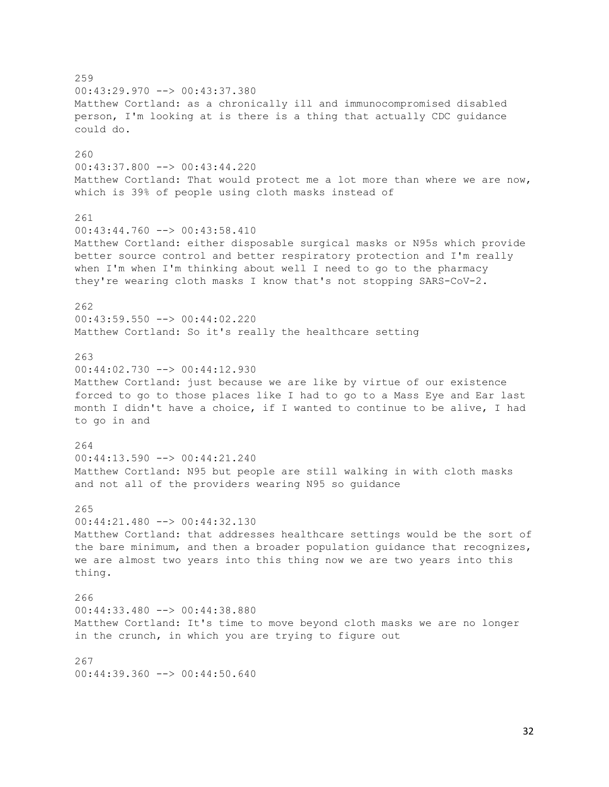259 00:43:29.970 --> 00:43:37.380 Matthew Cortland: as a chronically ill and immunocompromised disabled person, I'm looking at is there is a thing that actually CDC guidance could do. 260 00:43:37.800 --> 00:43:44.220 Matthew Cortland: That would protect me a lot more than where we are now, which is 39% of people using cloth masks instead of 261 00:43:44.760 --> 00:43:58.410 Matthew Cortland: either disposable surgical masks or N95s which provide better source control and better respiratory protection and I'm really when I'm when I'm thinking about well I need to go to the pharmacy they're wearing cloth masks I know that's not stopping SARS-CoV-2. 262  $00:43:59.550$  -->  $00:44:02.220$ Matthew Cortland: So it's really the healthcare setting 263  $00:44:02.730$   $\longrightarrow$   $00:44:12.930$ Matthew Cortland: just because we are like by virtue of our existence forced to go to those places like I had to go to a Mass Eye and Ear last month I didn't have a choice, if I wanted to continue to be alive, I had to go in and 264 00:44:13.590 --> 00:44:21.240 Matthew Cortland: N95 but people are still walking in with cloth masks and not all of the providers wearing N95 so guidance 265  $00:44:21.480$   $\rightarrow$  00:44:32.130 Matthew Cortland: that addresses healthcare settings would be the sort of the bare minimum, and then a broader population guidance that recognizes, we are almost two years into this thing now we are two years into this thing. 266 00:44:33.480 --> 00:44:38.880 Matthew Cortland: It's time to move beyond cloth masks we are no longer in the crunch, in which you are trying to figure out 267 00:44:39.360 --> 00:44:50.640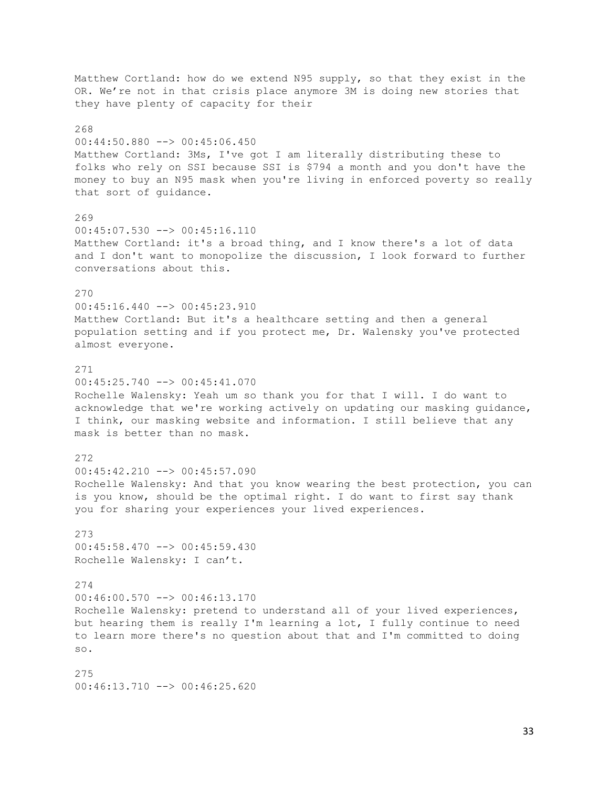Matthew Cortland: how do we extend N95 supply, so that they exist in the OR. We're not in that crisis place anymore 3M is doing new stories that they have plenty of capacity for their 268 00:44:50.880 --> 00:45:06.450 Matthew Cortland: 3Ms, I've got I am literally distributing these to folks who rely on SSI because SSI is \$794 a month and you don't have the money to buy an N95 mask when you're living in enforced poverty so really that sort of guidance. 269 00:45:07.530 --> 00:45:16.110 Matthew Cortland: it's a broad thing, and I know there's a lot of data and I don't want to monopolize the discussion, I look forward to further conversations about this. 270  $00:45:16.440$  -->  $00:45:23.910$ Matthew Cortland: But it's a healthcare setting and then a general population setting and if you protect me, Dr. Walensky you've protected almost everyone. 271 00:45:25.740 --> 00:45:41.070 Rochelle Walensky: Yeah um so thank you for that I will. I do want to acknowledge that we're working actively on updating our masking guidance, I think, our masking website and information. I still believe that any mask is better than no mask. 272  $00:45:42.210$  -->  $00:45:57.090$ Rochelle Walensky: And that you know wearing the best protection, you can is you know, should be the optimal right. I do want to first say thank you for sharing your experiences your lived experiences. 273 00:45:58.470 --> 00:45:59.430 Rochelle Walensky: I can't. 274  $00:46:00.570$  -->  $00:46:13.170$ Rochelle Walensky: pretend to understand all of your lived experiences, but hearing them is really I'm learning a lot, I fully continue to need to learn more there's no question about that and I'm committed to doing so. 275

```
00:46:13.710 --> 00:46:25.620
```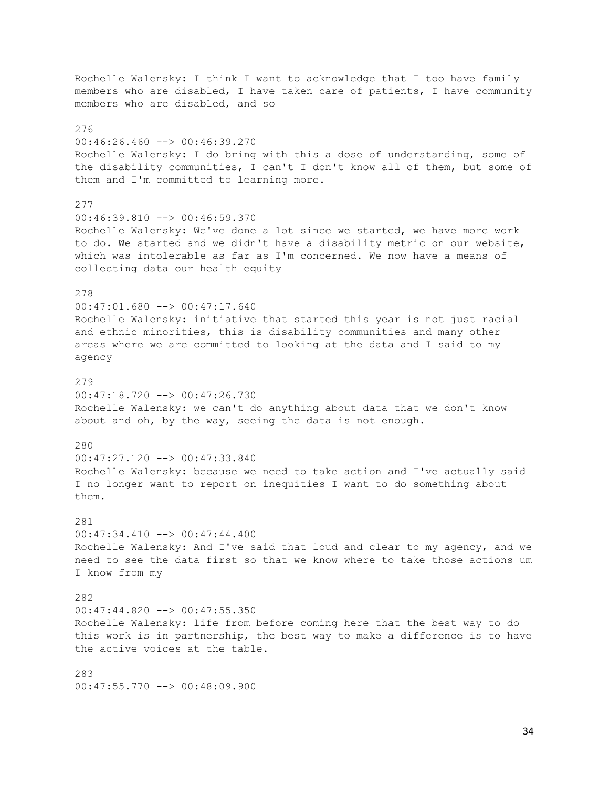Rochelle Walensky: I think I want to acknowledge that I too have family members who are disabled, I have taken care of patients, I have community members who are disabled, and so 276 00:46:26.460 --> 00:46:39.270 Rochelle Walensky: I do bring with this a dose of understanding, some of the disability communities, I can't I don't know all of them, but some of them and I'm committed to learning more. 277 00:46:39.810 --> 00:46:59.370 Rochelle Walensky: We've done a lot since we started, we have more work to do. We started and we didn't have a disability metric on our website, which was intolerable as far as I'm concerned. We now have a means of collecting data our health equity 278 00:47:01.680 --> 00:47:17.640 Rochelle Walensky: initiative that started this year is not just racial and ethnic minorities, this is disability communities and many other areas where we are committed to looking at the data and I said to my agency 279 00:47:18.720 --> 00:47:26.730 Rochelle Walensky: we can't do anything about data that we don't know about and oh, by the way, seeing the data is not enough. 280 00:47:27.120 --> 00:47:33.840 Rochelle Walensky: because we need to take action and I've actually said I no longer want to report on inequities I want to do something about them. 281 00:47:34.410 --> 00:47:44.400 Rochelle Walensky: And I've said that loud and clear to my agency, and we need to see the data first so that we know where to take those actions um I know from my 282 00:47:44.820 --> 00:47:55.350 Rochelle Walensky: life from before coming here that the best way to do this work is in partnership, the best way to make a difference is to have the active voices at the table. 283 00:47:55.770 --> 00:48:09.900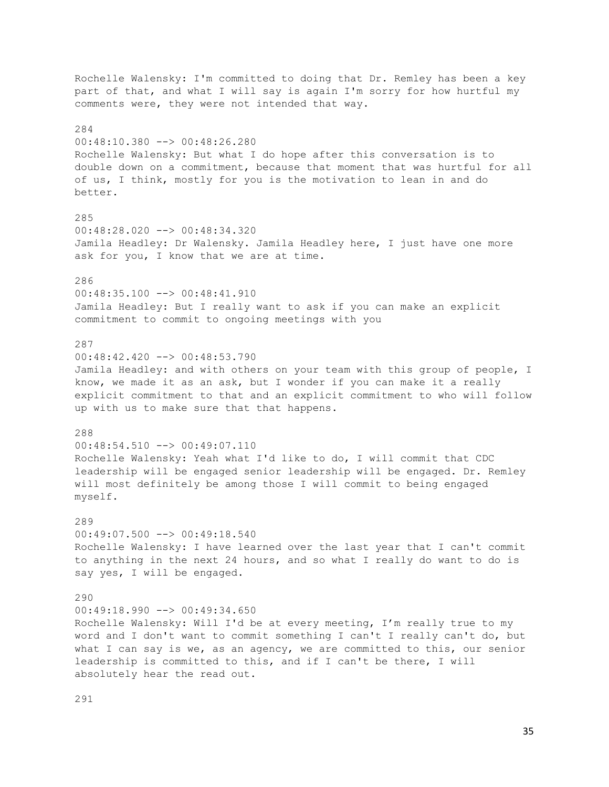Rochelle Walensky: I'm committed to doing that Dr. Remley has been a key part of that, and what I will say is again I'm sorry for how hurtful my comments were, they were not intended that way. 284 00:48:10.380 --> 00:48:26.280 Rochelle Walensky: But what I do hope after this conversation is to double down on a commitment, because that moment that was hurtful for all of us, I think, mostly for you is the motivation to lean in and do better. 285 00:48:28.020 --> 00:48:34.320 Jamila Headley: Dr Walensky. Jamila Headley here, I just have one more ask for you, I know that we are at time. 286 00:48:35.100 --> 00:48:41.910 Jamila Headley: But I really want to ask if you can make an explicit commitment to commit to ongoing meetings with you 287 00:48:42.420 --> 00:48:53.790 Jamila Headley: and with others on your team with this group of people, I know, we made it as an ask, but I wonder if you can make it a really explicit commitment to that and an explicit commitment to who will follow up with us to make sure that that happens. 288  $00:48:54.510$  -->  $00:49:07.110$ Rochelle Walensky: Yeah what I'd like to do, I will commit that CDC leadership will be engaged senior leadership will be engaged. Dr. Remley will most definitely be among those I will commit to being engaged myself. 289  $00:49:07.500$  -->  $00:49:18.540$ Rochelle Walensky: I have learned over the last year that I can't commit to anything in the next 24 hours, and so what I really do want to do is say yes, I will be engaged. 290 00:49:18.990 --> 00:49:34.650 Rochelle Walensky: Will I'd be at every meeting, I'm really true to my word and I don't want to commit something I can't I really can't do, but what I can say is we, as an agency, we are committed to this, our senior leadership is committed to this, and if I can't be there, I will absolutely hear the read out.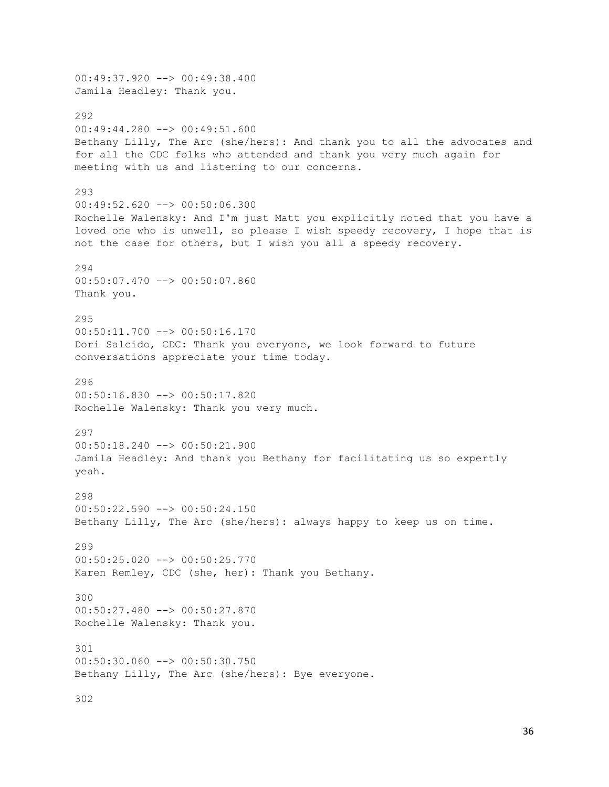00:49:37.920 --> 00:49:38.400 Jamila Headley: Thank you. 292 00:49:44.280 --> 00:49:51.600 Bethany Lilly, The Arc (she/hers): And thank you to all the advocates and for all the CDC folks who attended and thank you very much again for meeting with us and listening to our concerns. 293  $00:49:52.620$  -->  $00:50:06.300$ Rochelle Walensky: And I'm just Matt you explicitly noted that you have a loved one who is unwell, so please I wish speedy recovery, I hope that is not the case for others, but I wish you all a speedy recovery. 294  $00:50:07.470$  -->  $00:50:07.860$ Thank you. 295 00:50:11.700 --> 00:50:16.170 Dori Salcido, CDC: Thank you everyone, we look forward to future conversations appreciate your time today. 296 00:50:16.830 --> 00:50:17.820 Rochelle Walensky: Thank you very much. 297  $00:50:18.240$  -->  $00:50:21.900$ Jamila Headley: And thank you Bethany for facilitating us so expertly yeah. 298 00:50:22.590 --> 00:50:24.150 Bethany Lilly, The Arc (she/hers): always happy to keep us on time. 299  $00:50:25.020$  -->  $00:50:25.770$ Karen Remley, CDC (she, her): Thank you Bethany. 300 00:50:27.480 --> 00:50:27.870 Rochelle Walensky: Thank you. 301 00:50:30.060 --> 00:50:30.750 Bethany Lilly, The Arc (she/hers): Bye everyone.